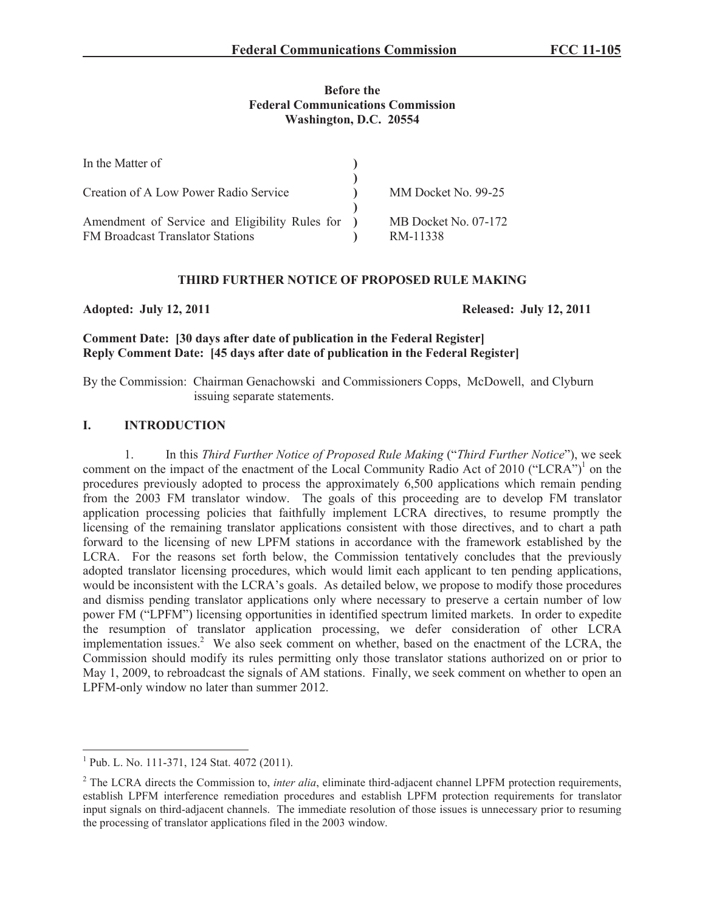### **Before the Federal Communications Commission Washington, D.C. 20554**

| In the Matter of                                                                            |                                  |
|---------------------------------------------------------------------------------------------|----------------------------------|
| Creation of A Low Power Radio Service                                                       | MM Docket No. 99-25              |
| Amendment of Service and Eligibility Rules for )<br><b>FM Broadcast Translator Stations</b> | MB Docket No. 07-172<br>RM-11338 |

#### **THIRD FURTHER NOTICE OF PROPOSED RULE MAKING**

**Adopted: July 12, 2011 Released: July 12, 2011**

## **Comment Date: [30 days after date of publication in the Federal Register] Reply Comment Date: [45 days after date of publication in the Federal Register]**

By the Commission: Chairman Genachowski and Commissioners Copps, McDowell, and Clyburn issuing separate statements.

### **I. INTRODUCTION**

1. In this *Third Further Notice of Proposed Rule Making* ("*Third Further Notice*"), we seek comment on the impact of the enactment of the Local Community Radio Act of 2010 ("LCRA")<sup>1</sup> on the procedures previously adopted to process the approximately 6,500 applications which remain pending from the 2003 FM translator window. The goals of this proceeding are to develop FM translator application processing policies that faithfully implement LCRA directives, to resume promptly the licensing of the remaining translator applications consistent with those directives, and to chart a path forward to the licensing of new LPFM stations in accordance with the framework established by the LCRA. For the reasons set forth below, the Commission tentatively concludes that the previously adopted translator licensing procedures, which would limit each applicant to ten pending applications, would be inconsistent with the LCRA's goals. As detailed below, we propose to modify those procedures and dismiss pending translator applications only where necessary to preserve a certain number of low power FM ("LPFM") licensing opportunities in identified spectrum limited markets. In order to expedite the resumption of translator application processing, we defer consideration of other LCRA implementation issues.<sup>2</sup> We also seek comment on whether, based on the enactment of the LCRA, the Commission should modify its rules permitting only those translator stations authorized on or prior to May 1, 2009, to rebroadcast the signals of AM stations. Finally, we seek comment on whether to open an LPFM-only window no later than summer 2012.

<sup>&</sup>lt;sup>1</sup> Pub. L. No. 111-371, 124 Stat. 4072 (2011).

<sup>&</sup>lt;sup>2</sup> The LCRA directs the Commission to, *inter alia*, eliminate third-adjacent channel LPFM protection requirements, establish LPFM interference remediation procedures and establish LPFM protection requirements for translator input signals on third-adjacent channels. The immediate resolution of those issues is unnecessary prior to resuming the processing of translator applications filed in the 2003 window.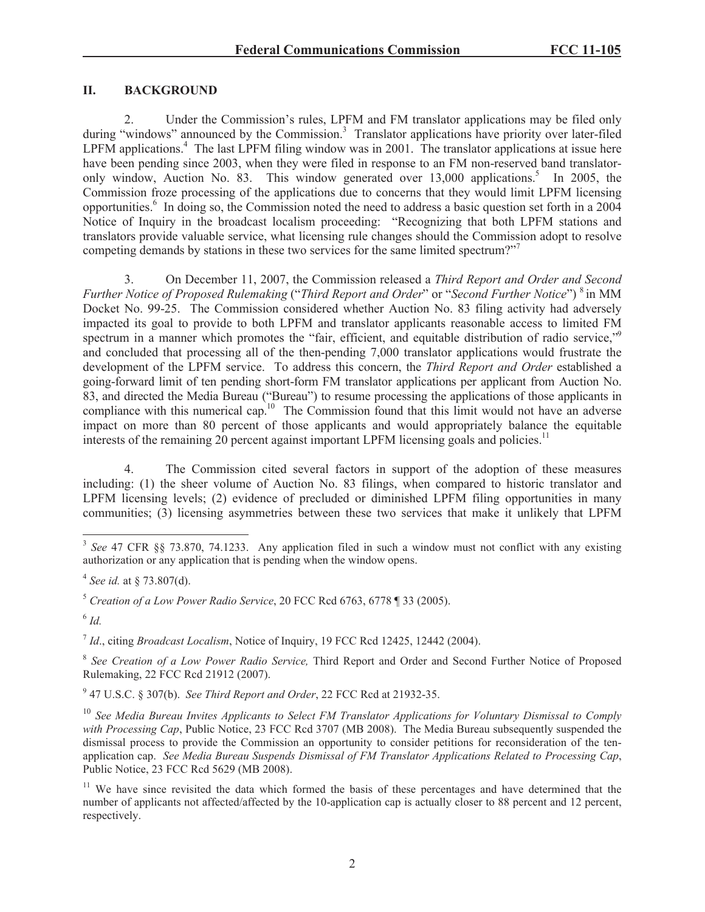### **II. BACKGROUND**

2. Under the Commission's rules, LPFM and FM translator applications may be filed only during "windows" announced by the Commission.<sup>3</sup> Translator applications have priority over later-filed  $LPFM$  applications.<sup>4</sup> The last  $LPFM$  filing window was in 2001. The translator applications at issue here have been pending since 2003, when they were filed in response to an FM non-reserved band translatoronly window, Auction No. 83. This window generated over 13,000 applications.<sup>5</sup> In 2005, the Commission froze processing of the applications due to concerns that they would limit LPFM licensing opportunities.<sup>6</sup> In doing so, the Commission noted the need to address a basic question set forth in a 2004 Notice of Inquiry in the broadcast localism proceeding: "Recognizing that both LPFM stations and translators provide valuable service, what licensing rule changes should the Commission adopt to resolve competing demands by stations in these two services for the same limited spectrum?"<sup>7</sup>

3. On December 11, 2007, the Commission released a *Third Report and Order and Second Further Notice of Proposed Rulemaking* ("*Third Report and Order*" or "*Second Further Notice*") <sup>8</sup> in MM Docket No. 99-25. The Commission considered whether Auction No. 83 filing activity had adversely impacted its goal to provide to both LPFM and translator applicants reasonable access to limited FM spectrum in a manner which promotes the "fair, efficient, and equitable distribution of radio service," and concluded that processing all of the then-pending 7,000 translator applications would frustrate the development of the LPFM service. To address this concern, the *Third Report and Order* established a going-forward limit of ten pending short-form FM translator applications per applicant from Auction No. 83, and directed the Media Bureau ("Bureau") to resume processing the applications of those applicants in compliance with this numerical cap.<sup>10</sup> The Commission found that this limit would not have an adverse impact on more than 80 percent of those applicants and would appropriately balance the equitable interests of the remaining  $20$  percent against important LPFM licensing goals and policies.<sup>11</sup>

4. The Commission cited several factors in support of the adoption of these measures including: (1) the sheer volume of Auction No. 83 filings, when compared to historic translator and LPFM licensing levels; (2) evidence of precluded or diminished LPFM filing opportunities in many communities; (3) licensing asymmetries between these two services that make it unlikely that LPFM

6 *Id.*

7 *Id*., citing *Broadcast Localism*, Notice of Inquiry, 19 FCC Rcd 12425, 12442 (2004).

<sup>8</sup> See Creation of a Low Power Radio Service, Third Report and Order and Second Further Notice of Proposed Rulemaking, 22 FCC Rcd 21912 (2007).

9 47 U.S.C. § 307(b). *See Third Report and Order*, 22 FCC Rcd at 21932-35.

<sup>10</sup> *See Media Bureau Invites Applicants to Select FM Translator Applications for Voluntary Dismissal to Comply*  with Processing Cap, Public Notice, 23 FCC Rcd 3707 (MB 2008). The Media Bureau subsequently suspended the dismissal process to provide the Commission an opportunity to consider petitions for reconsideration of the tenapplication cap. *See Media Bureau Suspends Dismissal of FM Translator Applications Related to Processing Cap*, Public Notice, 23 FCC Rcd 5629 (MB 2008).

<sup>&</sup>lt;sup>3</sup> See 47 CFR §§ 73.870, 74.1233. Any application filed in such a window must not conflict with any existing authorization or any application that is pending when the window opens.

<sup>4</sup> *See id.* at § 73.807(d).

<sup>5</sup> *Creation of a Low Power Radio Service*, 20 FCC Rcd 6763, 6778 ¶ 33 (2005).

<sup>&</sup>lt;sup>11</sup> We have since revisited the data which formed the basis of these percentages and have determined that the number of applicants not affected/affected by the 10-application cap is actually closer to 88 percent and 12 percent, respectively.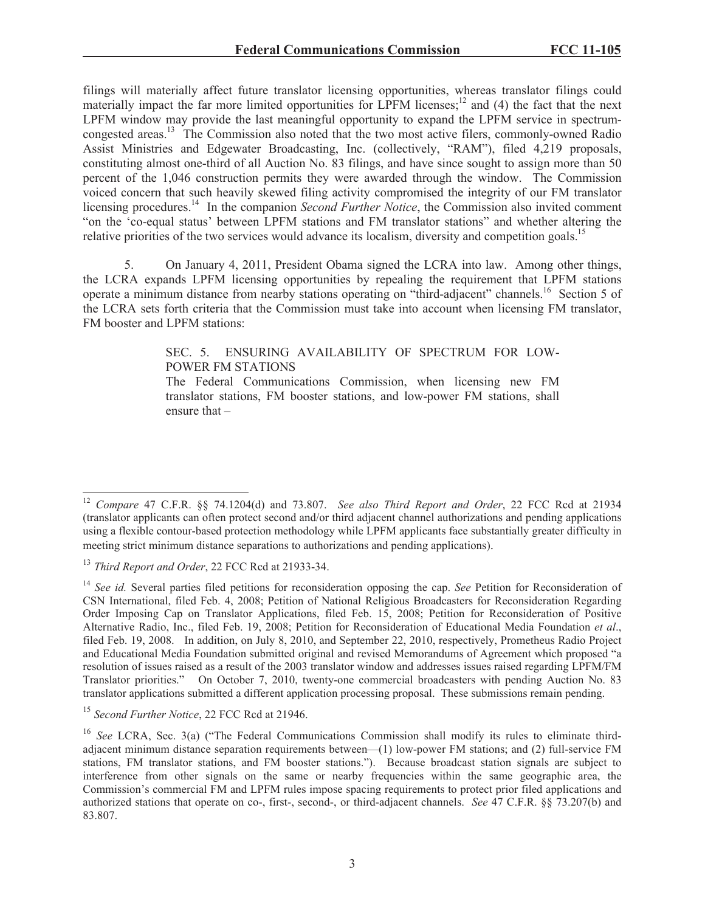filings will materially affect future translator licensing opportunities, whereas translator filings could materially impact the far more limited opportunities for LPFM licenses;<sup>12</sup> and (4) the fact that the next LPFM window may provide the last meaningful opportunity to expand the LPFM service in spectrumcongested areas.<sup>13</sup> The Commission also noted that the two most active filers, commonly-owned Radio Assist Ministries and Edgewater Broadcasting, Inc. (collectively, "RAM"), filed 4,219 proposals, constituting almost one-third of all Auction No. 83 filings, and have since sought to assign more than 50 percent of the 1,046 construction permits they were awarded through the window. The Commission voiced concern that such heavily skewed filing activity compromised the integrity of our FM translator licensing procedures.<sup>14</sup> In the companion *Second Further Notice*, the Commission also invited comment "on the 'co-equal status' between LPFM stations and FM translator stations" and whether altering the relative priorities of the two services would advance its localism, diversity and competition goals.<sup>15</sup>

5. On January 4, 2011, President Obama signed the LCRA into law. Among other things, the LCRA expands LPFM licensing opportunities by repealing the requirement that LPFM stations operate a minimum distance from nearby stations operating on "third-adjacent" channels.<sup>16</sup> Section 5 of the LCRA sets forth criteria that the Commission must take into account when licensing FM translator, FM booster and LPFM stations:

> SEC. 5. ENSURING AVAILABILITY OF SPECTRUM FOR LOW-POWER FM STATIONS

> The Federal Communications Commission, when licensing new FM translator stations, FM booster stations, and low-power FM stations, shall ensure that –

<sup>12</sup> *Compare* 47 C.F.R. §§ 74.1204(d) and 73.807. *See also Third Report and Order*, 22 FCC Rcd at 21934 (translator applicants can often protect second and/or third adjacent channel authorizations and pending applications using a flexible contour-based protection methodology while LPFM applicants face substantially greater difficulty in meeting strict minimum distance separations to authorizations and pending applications).

<sup>13</sup> *Third Report and Order*, 22 FCC Rcd at 21933-34.

<sup>&</sup>lt;sup>14</sup> *See id.* Several parties filed petitions for reconsideration opposing the cap. *See* Petition for Reconsideration of CSN International, filed Feb. 4, 2008; Petition of National Religious Broadcasters for Reconsideration Regarding Order Imposing Cap on Translator Applications, filed Feb. 15, 2008; Petition for Reconsideration of Positive Alternative Radio, Inc., filed Feb. 19, 2008; Petition for Reconsideration of Educational Media Foundation *et al*., filed Feb. 19, 2008. In addition, on July 8, 2010, and September 22, 2010, respectively, Prometheus Radio Project and Educational Media Foundation submitted original and revised Memorandums of Agreement which proposed "a resolution of issues raised as a result of the 2003 translator window and addresses issues raised regarding LPFM/FM Translator priorities." On October 7, 2010, twenty-one commercial broadcasters with pending Auction No. 83 translator applications submitted a different application processing proposal. These submissions remain pending.

<sup>15</sup> *Second Further Notice*, 22 FCC Rcd at 21946.

<sup>&</sup>lt;sup>16</sup> *See* LCRA, Sec. 3(a) ("The Federal Communications Commission shall modify its rules to eliminate thirdadjacent minimum distance separation requirements between—(1) low-power FM stations; and (2) full-service FM stations, FM translator stations, and FM booster stations."). Because broadcast station signals are subject to interference from other signals on the same or nearby frequencies within the same geographic area, the Commission's commercial FM and LPFM rules impose spacing requirements to protect prior filed applications and authorized stations that operate on co-, first-, second-, or third-adjacent channels. *See* 47 C.F.R. §§ 73.207(b) and 83.807.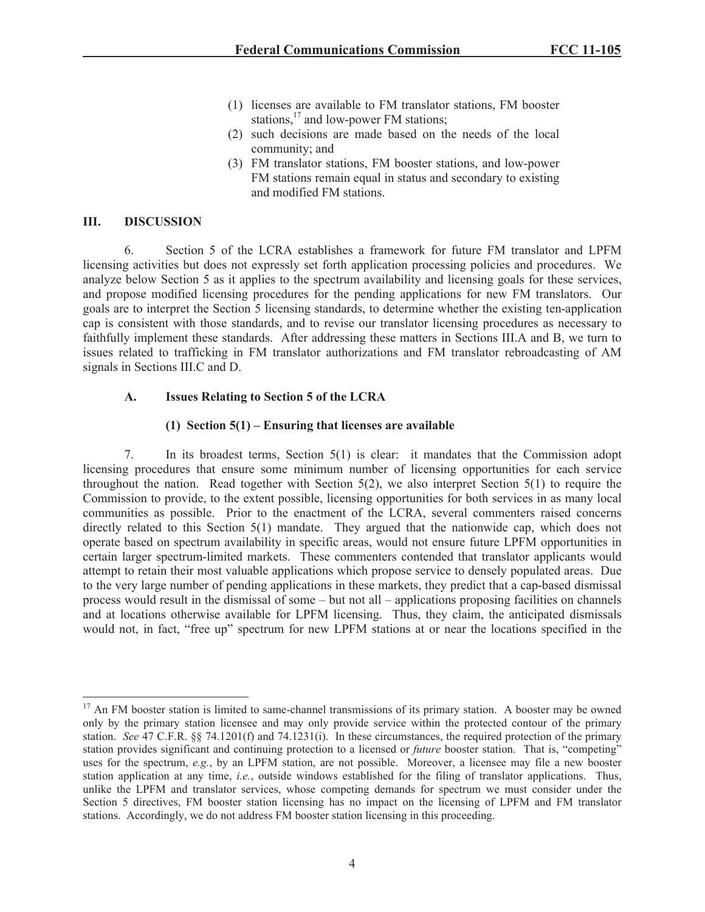- (1) licenses are available to FM translator stations, FM booster stations,<sup>17</sup> and low-power FM stations;
- (2) such decisions are made based on the needs of the local community; and
- (3) FM translator stations, FM booster stations, and low-power FM stations remain equal in status and secondary to existing and modified FM stations.

### **III. DISCUSSION**

6. Section 5 of the LCRA establishes a framework for future FM translator and LPFM licensing activities but does not expressly set forth application processing policies and procedures. We analyze below Section 5 as it applies to the spectrum availability and licensing goals for these services, and propose modified licensing procedures for the pending applications for new FM translators. Our goals are to interpret the Section 5 licensing standards, to determine whether the existing ten-application cap is consistent with those standards, and to revise our translator licensing procedures as necessary to faithfully implement these standards. After addressing these matters in Sections III.A and B, we turn to issues related to trafficking in FM translator authorizations and FM translator rebroadcasting of AM signals in Sections III.C and D.

### **A. Issues Relating to Section 5 of the LCRA**

### **(1) Section 5(1) – Ensuring that licenses are available**

7. In its broadest terms, Section 5(1) is clear: it mandates that the Commission adopt licensing procedures that ensure some minimum number of licensing opportunities for each service throughout the nation. Read together with Section  $5(2)$ , we also interpret Section  $5(1)$  to require the Commission to provide, to the extent possible, licensing opportunities for both services in as many local communities as possible. Prior to the enactment of the LCRA, several commenters raised concerns directly related to this Section 5(1) mandate. They argued that the nationwide cap, which does not operate based on spectrum availability in specific areas, would not ensure future LPFM opportunities in certain larger spectrum-limited markets. These commenters contended that translator applicants would attempt to retain their most valuable applications which propose service to densely populated areas. Due to the very large number of pending applications in these markets, they predict that a cap-based dismissal process would result in the dismissal of some – but not all – applications proposing facilities on channels and at locations otherwise available for LPFM licensing. Thus, they claim, the anticipated dismissals would not, in fact, "free up" spectrum for new LPFM stations at or near the locations specified in the

<sup>&</sup>lt;sup>17</sup> An FM booster station is limited to same-channel transmissions of its primary station. A booster may be owned only by the primary station licensee and may only provide service within the protected contour of the primary station. *See* 47 C.F.R. §§ 74.1201(f) and 74.1231(i). In these circumstances, the required protection of the primary station provides significant and continuing protection to a licensed or *future* booster station. That is, "competing" uses for the spectrum, *e.g.*, by an LPFM station, are not possible. Moreover, a licensee may file a new booster station application at any time, *i.e.*, outside windows established for the filing of translator applications. Thus, unlike the LPFM and translator services, whose competing demands for spectrum we must consider under the Section 5 directives, FM booster station licensing has no impact on the licensing of LPFM and FM translator stations. Accordingly, we do not address FM booster station licensing in this proceeding.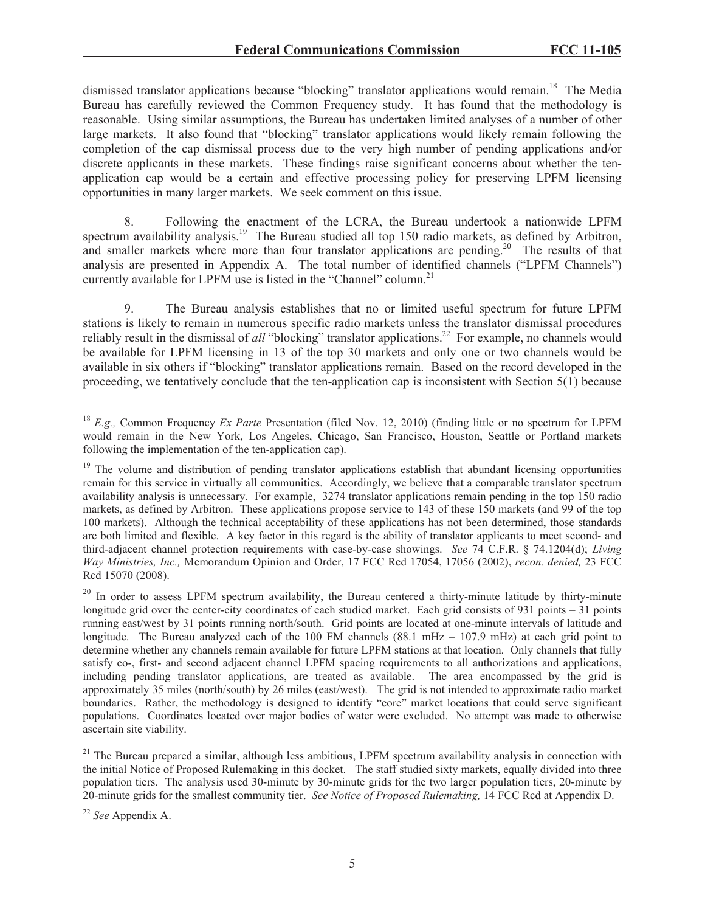dismissed translator applications because "blocking" translator applications would remain.<sup>18</sup> The Media Bureau has carefully reviewed the Common Frequency study. It has found that the methodology is reasonable. Using similar assumptions, the Bureau has undertaken limited analyses of a number of other large markets. It also found that "blocking" translator applications would likely remain following the completion of the cap dismissal process due to the very high number of pending applications and/or discrete applicants in these markets. These findings raise significant concerns about whether the tenapplication cap would be a certain and effective processing policy for preserving LPFM licensing opportunities in many larger markets. We seek comment on this issue.

8. Following the enactment of the LCRA, the Bureau undertook a nationwide LPFM spectrum availability analysis.<sup>19</sup> The Bureau studied all top 150 radio markets, as defined by Arbitron, and smaller markets where more than four translator applications are pending.<sup>20</sup> The results of that analysis are presented in Appendix A. The total number of identified channels ("LPFM Channels") currently available for LPFM use is listed in the "Channel" column.<sup>21</sup>

9. The Bureau analysis establishes that no or limited useful spectrum for future LPFM stations is likely to remain in numerous specific radio markets unless the translator dismissal procedures reliably result in the dismissal of *all* "blocking" translator applications.<sup>22</sup> For example, no channels would be available for LPFM licensing in 13 of the top 30 markets and only one or two channels would be available in six others if "blocking" translator applications remain. Based on the record developed in the proceeding, we tentatively conclude that the ten-application cap is inconsistent with Section 5(1) because

<sup>18</sup> *E.g.,* Common Frequency *Ex Parte* Presentation (filed Nov. 12, 2010) (finding little or no spectrum for LPFM would remain in the New York, Los Angeles, Chicago, San Francisco, Houston, Seattle or Portland markets following the implementation of the ten-application cap).

<sup>&</sup>lt;sup>19</sup> The volume and distribution of pending translator applications establish that abundant licensing opportunities remain for this service in virtually all communities. Accordingly, we believe that a comparable translator spectrum availability analysis is unnecessary. For example, 3274 translator applications remain pending in the top 150 radio markets, as defined by Arbitron. These applications propose service to 143 of these 150 markets (and 99 of the top 100 markets). Although the technical acceptability of these applications has not been determined, those standards are both limited and flexible. A key factor in this regard is the ability of translator applicants to meet second- and third-adjacent channel protection requirements with case-by-case showings. *See* 74 C.F.R. § 74.1204(d); *Living Way Ministries, Inc.,* Memorandum Opinion and Order, 17 FCC Rcd 17054, 17056 (2002), *recon. denied,* 23 FCC Rcd 15070 (2008).

<sup>&</sup>lt;sup>20</sup> In order to assess LPFM spectrum availability, the Bureau centered a thirty-minute latitude by thirty-minute longitude grid over the center-city coordinates of each studied market. Each grid consists of 931 points – 31 points running east/west by 31 points running north/south. Grid points are located at one-minute intervals of latitude and longitude. The Bureau analyzed each of the 100 FM channels (88.1 mHz – 107.9 mHz) at each grid point to determine whether any channels remain available for future LPFM stations at that location. Only channels that fully satisfy co-, first- and second adjacent channel LPFM spacing requirements to all authorizations and applications, including pending translator applications, are treated as available. The area encompassed by the grid is approximately 35 miles (north/south) by 26 miles (east/west). The grid is not intended to approximate radio market boundaries. Rather, the methodology is designed to identify "core" market locations that could serve significant populations. Coordinates located over major bodies of water were excluded. No attempt was made to otherwise ascertain site viability.

<sup>&</sup>lt;sup>21</sup> The Bureau prepared a similar, although less ambitious, LPFM spectrum availability analysis in connection with the initial Notice of Proposed Rulemaking in this docket. The staff studied sixty markets, equally divided into three population tiers. The analysis used 30-minute by 30-minute grids for the two larger population tiers, 20-minute by 20-minute grids for the smallest community tier. *See Notice of Proposed Rulemaking,* 14 FCC Rcd at Appendix D.

<sup>22</sup> *See* Appendix A.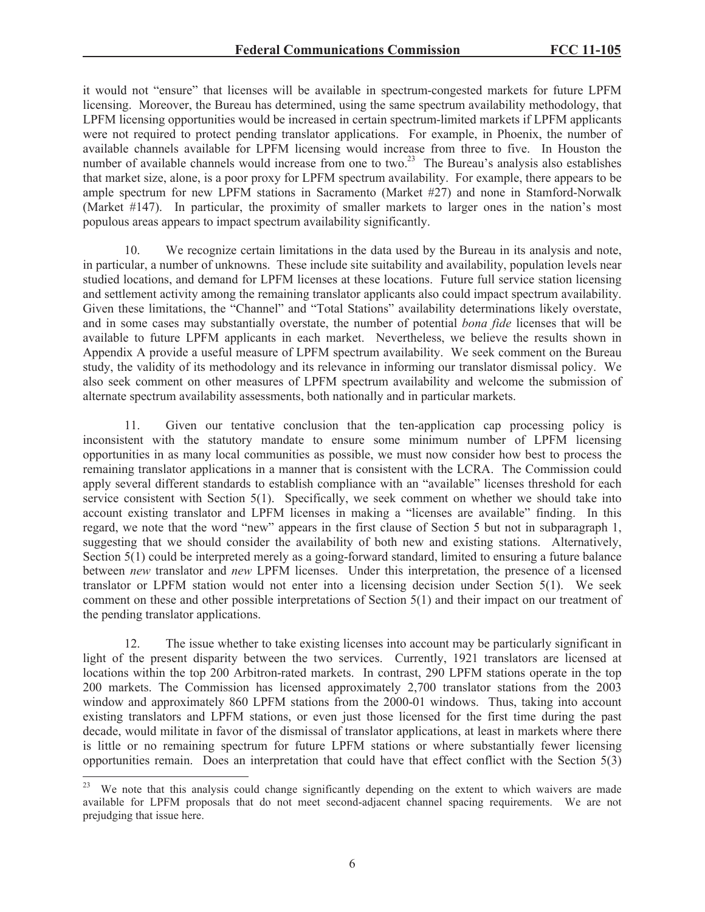it would not "ensure" that licenses will be available in spectrum-congested markets for future LPFM licensing. Moreover, the Bureau has determined, using the same spectrum availability methodology, that LPFM licensing opportunities would be increased in certain spectrum-limited markets if LPFM applicants were not required to protect pending translator applications. For example, in Phoenix, the number of available channels available for LPFM licensing would increase from three to five. In Houston the number of available channels would increase from one to two.<sup>23</sup> The Bureau's analysis also establishes that market size, alone, is a poor proxy for LPFM spectrum availability. For example, there appears to be ample spectrum for new LPFM stations in Sacramento (Market #27) and none in Stamford-Norwalk (Market #147). In particular, the proximity of smaller markets to larger ones in the nation's most populous areas appears to impact spectrum availability significantly.

10. We recognize certain limitations in the data used by the Bureau in its analysis and note, in particular, a number of unknowns. These include site suitability and availability, population levels near studied locations, and demand for LPFM licenses at these locations. Future full service station licensing and settlement activity among the remaining translator applicants also could impact spectrum availability. Given these limitations, the "Channel" and "Total Stations" availability determinations likely overstate, and in some cases may substantially overstate, the number of potential *bona fide* licenses that will be available to future LPFM applicants in each market. Nevertheless, we believe the results shown in Appendix A provide a useful measure of LPFM spectrum availability. We seek comment on the Bureau study, the validity of its methodology and its relevance in informing our translator dismissal policy. We also seek comment on other measures of LPFM spectrum availability and welcome the submission of alternate spectrum availability assessments, both nationally and in particular markets.

11. Given our tentative conclusion that the ten-application cap processing policy is inconsistent with the statutory mandate to ensure some minimum number of LPFM licensing opportunities in as many local communities as possible, we must now consider how best to process the remaining translator applications in a manner that is consistent with the LCRA. The Commission could apply several different standards to establish compliance with an "available" licenses threshold for each service consistent with Section 5(1). Specifically, we seek comment on whether we should take into account existing translator and LPFM licenses in making a "licenses are available" finding. In this regard, we note that the word "new" appears in the first clause of Section 5 but not in subparagraph 1, suggesting that we should consider the availability of both new and existing stations. Alternatively, Section 5(1) could be interpreted merely as a going-forward standard, limited to ensuring a future balance between *new* translator and *new* LPFM licenses. Under this interpretation, the presence of a licensed translator or LPFM station would not enter into a licensing decision under Section 5(1). We seek comment on these and other possible interpretations of Section 5(1) and their impact on our treatment of the pending translator applications.

12. The issue whether to take existing licenses into account may be particularly significant in light of the present disparity between the two services. Currently, 1921 translators are licensed at locations within the top 200 Arbitron-rated markets. In contrast, 290 LPFM stations operate in the top 200 markets. The Commission has licensed approximately 2,700 translator stations from the 2003 window and approximately 860 LPFM stations from the 2000-01 windows. Thus, taking into account existing translators and LPFM stations, or even just those licensed for the first time during the past decade, would militate in favor of the dismissal of translator applications, at least in markets where there is little or no remaining spectrum for future LPFM stations or where substantially fewer licensing opportunities remain. Does an interpretation that could have that effect conflict with the Section 5(3)

<sup>&</sup>lt;sup>23</sup> We note that this analysis could change significantly depending on the extent to which waivers are made available for LPFM proposals that do not meet second-adjacent channel spacing requirements. We are not prejudging that issue here.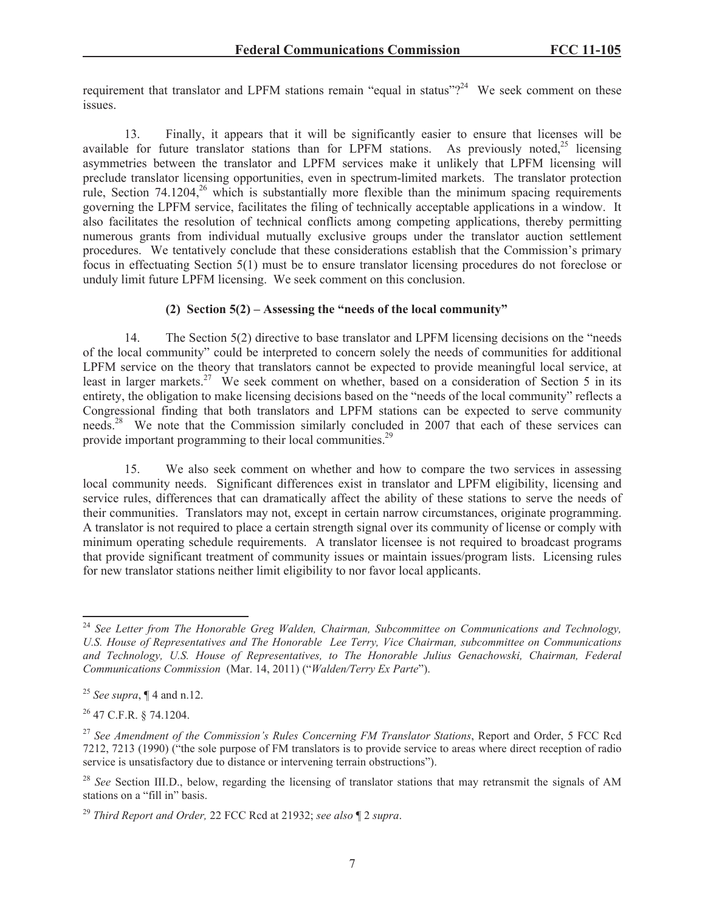requirement that translator and LPFM stations remain "equal in status" $2^{24}$  We seek comment on these issues.

13. Finally, it appears that it will be significantly easier to ensure that licenses will be available for future translator stations than for LPFM stations. As previously noted,  $2^5$  licensing asymmetries between the translator and LPFM services make it unlikely that LPFM licensing will preclude translator licensing opportunities, even in spectrum-limited markets. The translator protection rule, Section  $74.1204$ ,  $26$  which is substantially more flexible than the minimum spacing requirements governing the LPFM service, facilitates the filing of technically acceptable applications in a window. It also facilitates the resolution of technical conflicts among competing applications, thereby permitting numerous grants from individual mutually exclusive groups under the translator auction settlement procedures. We tentatively conclude that these considerations establish that the Commission's primary focus in effectuating Section 5(1) must be to ensure translator licensing procedures do not foreclose or unduly limit future LPFM licensing. We seek comment on this conclusion.

### **(2) Section 5(2) – Assessing the "needs of the local community"**

14. The Section 5(2) directive to base translator and LPFM licensing decisions on the "needs of the local community" could be interpreted to concern solely the needs of communities for additional LPFM service on the theory that translators cannot be expected to provide meaningful local service, at least in larger markets.<sup>27</sup> We seek comment on whether, based on a consideration of Section 5 in its entirety, the obligation to make licensing decisions based on the "needs of the local community" reflects a Congressional finding that both translators and LPFM stations can be expected to serve community needs.<sup>28</sup> We note that the Commission similarly concluded in 2007 that each of these services can provide important programming to their local communities.<sup>29</sup>

15. We also seek comment on whether and how to compare the two services in assessing local community needs. Significant differences exist in translator and LPFM eligibility, licensing and service rules, differences that can dramatically affect the ability of these stations to serve the needs of their communities. Translators may not, except in certain narrow circumstances, originate programming. A translator is not required to place a certain strength signal over its community of license or comply with minimum operating schedule requirements. A translator licensee is not required to broadcast programs that provide significant treatment of community issues or maintain issues/program lists. Licensing rules for new translator stations neither limit eligibility to nor favor local applicants.

<sup>24</sup> *See Letter from The Honorable Greg Walden, Chairman, Subcommittee on Communications and Technology, U.S. House of Representatives and The Honorable Lee Terry, Vice Chairman, subcommittee on Communications and Technology, U.S. House of Representatives, to The Honorable Julius Genachowski, Chairman, Federal Communications Commission* (Mar. 14, 2011) ("*Walden/Terry Ex Parte*").

<sup>25</sup> *See supra*, ¶ 4 and n.12.

<sup>26</sup> 47 C.F.R. § 74.1204.

<sup>27</sup> *See Amendment of the Commission's Rules Concerning FM Translator Stations*, Report and Order, 5 FCC Rcd 7212, 7213 (1990) ("the sole purpose of FM translators is to provide service to areas where direct reception of radio service is unsatisfactory due to distance or intervening terrain obstructions").

<sup>&</sup>lt;sup>28</sup> *See* Section III.D., below, regarding the licensing of translator stations that may retransmit the signals of AM stations on a "fill in" basis.

<sup>29</sup> *Third Report and Order,* 22 FCC Rcd at 21932; *see also* ¶ 2 *supra*.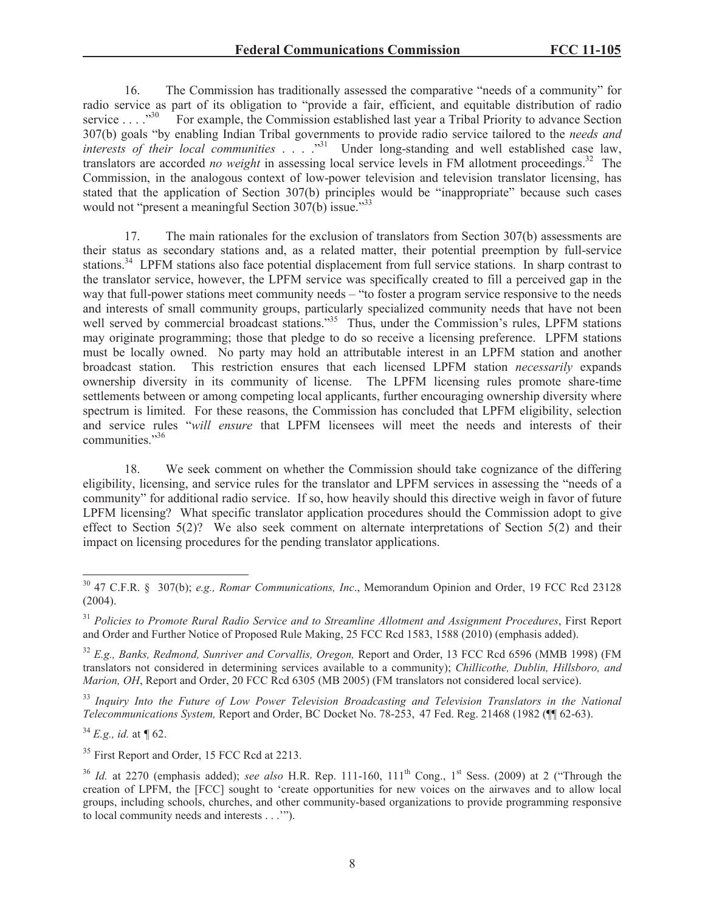16. The Commission has traditionally assessed the comparative "needs of a community" for radio service as part of its obligation to "provide a fair, efficient, and equitable distribution of radio service . . . . ...<sup>330</sup> For example, the Commission established last vear a Tribal Priority to advance Section For example, the Commission established last year a Tribal Priority to advance Section 307(b) goals "by enabling Indian Tribal governments to provide radio service tailored to the *needs and interests of their local communities* . . . .<sup>"31</sup> Under long-standing and well established case law, translators are accorded *no weight* in assessing local service levels in FM allotment proceedings.<sup>32</sup> The Commission, in the analogous context of low-power television and television translator licensing, has stated that the application of Section 307(b) principles would be "inappropriate" because such cases would not "present a meaningful Section 307(b) issue."<sup>33</sup>

17. The main rationales for the exclusion of translators from Section 307(b) assessments are their status as secondary stations and, as a related matter, their potential preemption by full-service stations.<sup>34</sup> LPFM stations also face potential displacement from full service stations. In sharp contrast to the translator service, however, the LPFM service was specifically created to fill a perceived gap in the way that full-power stations meet community needs – "to foster a program service responsive to the needs and interests of small community groups, particularly specialized community needs that have not been well served by commercial broadcast stations."<sup>35</sup> Thus, under the Commission's rules, LPFM stations may originate programming; those that pledge to do so receive a licensing preference. LPFM stations must be locally owned. No party may hold an attributable interest in an LPFM station and another broadcast station. This restriction ensures that each licensed LPFM station *necessarily* expands ownership diversity in its community of license. The LPFM licensing rules promote share-time settlements between or among competing local applicants, further encouraging ownership diversity where spectrum is limited. For these reasons, the Commission has concluded that LPFM eligibility, selection and service rules "*will ensure* that LPFM licensees will meet the needs and interests of their communities."<sup>36</sup>

18. We seek comment on whether the Commission should take cognizance of the differing eligibility, licensing, and service rules for the translator and LPFM services in assessing the "needs of a community" for additional radio service. If so, how heavily should this directive weigh in favor of future LPFM licensing? What specific translator application procedures should the Commission adopt to give effect to Section  $5(2)$ ? We also seek comment on alternate interpretations of Section  $5(2)$  and their impact on licensing procedures for the pending translator applications.

<sup>34</sup> *E.g., id.* at *¶* 62.

<sup>35</sup> First Report and Order, 15 FCC Rcd at 2213.

<sup>30</sup> 47 C.F.R. § 307(b); *e.g., Romar Communications, Inc*., Memorandum Opinion and Order, 19 FCC Rcd 23128 (2004).

<sup>31</sup> *Policies to Promote Rural Radio Service and to Streamline Allotment and Assignment Procedures*, First Report and Order and Further Notice of Proposed Rule Making, 25 FCC Rcd 1583, 1588 (2010) (emphasis added).

<sup>32</sup> *E.g., Banks, Redmond, Sunriver and Corvallis, Oregon,* Report and Order, 13 FCC Rcd 6596 (MMB 1998) (FM translators not considered in determining services available to a community); *Chillicothe, Dublin, Hillsboro, and Marion, OH*, Report and Order, 20 FCC Rcd 6305 (MB 2005) (FM translators not considered local service).

<sup>33</sup> *Inquiry Into the Future of Low Power Television Broadcasting and Television Translators in the National Telecommunications System,* Report and Order, BC Docket No. 78-253, 47 Fed. Reg. 21468 (1982 (¶¶ 62-63).

<sup>&</sup>lt;sup>36</sup> *Id.* at 2270 (emphasis added); *see also* H.R. Rep. 111-160, 111<sup>th</sup> Cong., 1<sup>st</sup> Sess. (2009) at 2 ("Through the creation of LPFM, the [FCC] sought to 'create opportunities for new voices on the airwaves and to allow local groups, including schools, churches, and other community-based organizations to provide programming responsive to local community needs and interests . . .'").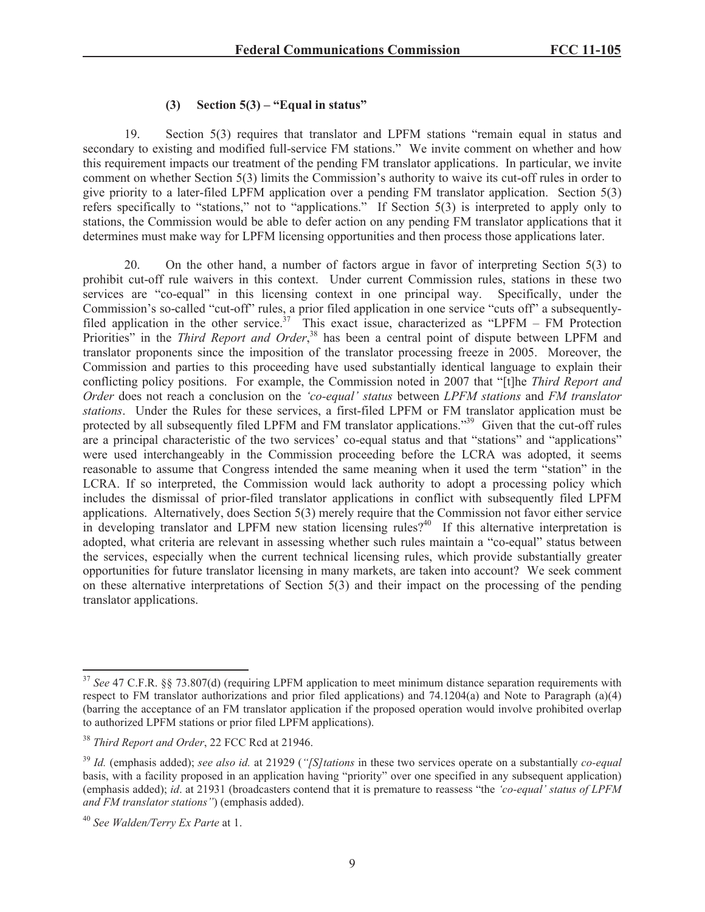## **(3) Section 5(3) – "Equal in status"**

19. Section 5(3) requires that translator and LPFM stations "remain equal in status and secondary to existing and modified full-service FM stations." We invite comment on whether and how this requirement impacts our treatment of the pending FM translator applications. In particular, we invite comment on whether Section 5(3) limits the Commission's authority to waive its cut-off rules in order to give priority to a later-filed LPFM application over a pending FM translator application. Section 5(3) refers specifically to "stations," not to "applications." If Section 5(3) is interpreted to apply only to stations, the Commission would be able to defer action on any pending FM translator applications that it determines must make way for LPFM licensing opportunities and then process those applications later.

20. On the other hand, a number of factors argue in favor of interpreting Section 5(3) to prohibit cut-off rule waivers in this context. Under current Commission rules, stations in these two services are "co-equal" in this licensing context in one principal way. Specifically, under the Commission's so-called "cut-off" rules, a prior filed application in one service "cuts off" a subsequentlyfiled application in the other service.<sup>37</sup> This exact issue, characterized as "LPFM – FM Protection" Priorities" in the *Third Report and Order*,<sup>38</sup> has been a central point of dispute between LPFM and translator proponents since the imposition of the translator processing freeze in 2005. Moreover, the Commission and parties to this proceeding have used substantially identical language to explain their conflicting policy positions. For example, the Commission noted in 2007 that "[t]he *Third Report and Order* does not reach a conclusion on the *'co-equal' status* between *LPFM stations* and *FM translator stations*. Under the Rules for these services, a first-filed LPFM or FM translator application must be protected by all subsequently filed LPFM and FM translator applications.<sup>39</sup> Given that the cut-off rules are a principal characteristic of the two services' co-equal status and that "stations" and "applications" were used interchangeably in the Commission proceeding before the LCRA was adopted, it seems reasonable to assume that Congress intended the same meaning when it used the term "station" in the LCRA. If so interpreted, the Commission would lack authority to adopt a processing policy which includes the dismissal of prior-filed translator applications in conflict with subsequently filed LPFM applications. Alternatively, does Section 5(3) merely require that the Commission not favor either service in developing translator and LPFM new station licensing rules?<sup>40</sup> If this alternative interpretation is adopted, what criteria are relevant in assessing whether such rules maintain a "co-equal" status between the services, especially when the current technical licensing rules, which provide substantially greater opportunities for future translator licensing in many markets, are taken into account? We seek comment on these alternative interpretations of Section 5(3) and their impact on the processing of the pending translator applications.

<sup>&</sup>lt;sup>37</sup> See 47 C.F.R. §§ 73.807(d) (requiring LPFM application to meet minimum distance separation requirements with respect to FM translator authorizations and prior filed applications) and 74.1204(a) and Note to Paragraph (a)(4) (barring the acceptance of an FM translator application if the proposed operation would involve prohibited overlap to authorized LPFM stations or prior filed LPFM applications).

<sup>38</sup> *Third Report and Order*, 22 FCC Rcd at 21946.

<sup>39</sup> *Id.* (emphasis added); *see also id.* at 21929 (*"[S]tations* in these two services operate on a substantially *co-equal* basis, with a facility proposed in an application having "priority" over one specified in any subsequent application) (emphasis added); *id*. at 21931 (broadcasters contend that it is premature to reassess "the *'co-equal' status of LPFM and FM translator stations"*) (emphasis added).

<sup>40</sup> *See Walden/Terry Ex Parte* at 1.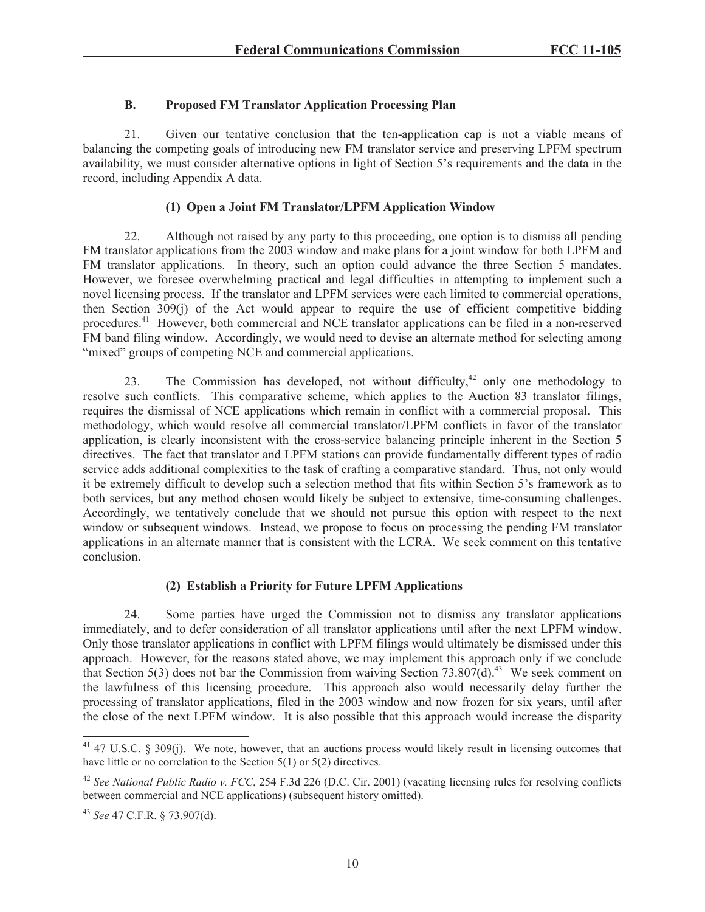# **B. Proposed FM Translator Application Processing Plan**

21. Given our tentative conclusion that the ten-application cap is not a viable means of balancing the competing goals of introducing new FM translator service and preserving LPFM spectrum availability, we must consider alternative options in light of Section 5's requirements and the data in the record, including Appendix A data.

# **(1) Open a Joint FM Translator/LPFM Application Window**

22. Although not raised by any party to this proceeding, one option is to dismiss all pending FM translator applications from the 2003 window and make plans for a joint window for both LPFM and FM translator applications. In theory, such an option could advance the three Section 5 mandates. However, we foresee overwhelming practical and legal difficulties in attempting to implement such a novel licensing process. If the translator and LPFM services were each limited to commercial operations, then Section 309(j) of the Act would appear to require the use of efficient competitive bidding procedures.<sup>41</sup> However, both commercial and NCE translator applications can be filed in a non-reserved FM band filing window. Accordingly, we would need to devise an alternate method for selecting among "mixed" groups of competing NCE and commercial applications.

23. The Commission has developed, not without difficulty,<sup>42</sup> only one methodology to resolve such conflicts. This comparative scheme, which applies to the Auction 83 translator filings, requires the dismissal of NCE applications which remain in conflict with a commercial proposal. This methodology, which would resolve all commercial translator/LPFM conflicts in favor of the translator application, is clearly inconsistent with the cross-service balancing principle inherent in the Section 5 directives. The fact that translator and LPFM stations can provide fundamentally different types of radio service adds additional complexities to the task of crafting a comparative standard. Thus, not only would it be extremely difficult to develop such a selection method that fits within Section 5's framework as to both services, but any method chosen would likely be subject to extensive, time-consuming challenges. Accordingly, we tentatively conclude that we should not pursue this option with respect to the next window or subsequent windows. Instead, we propose to focus on processing the pending FM translator applications in an alternate manner that is consistent with the LCRA. We seek comment on this tentative conclusion.

# **(2) Establish a Priority for Future LPFM Applications**

24. Some parties have urged the Commission not to dismiss any translator applications immediately, and to defer consideration of all translator applications until after the next LPFM window. Only those translator applications in conflict with LPFM filings would ultimately be dismissed under this approach. However, for the reasons stated above, we may implement this approach only if we conclude that Section 5(3) does not bar the Commission from waiving Section 73.807(d).<sup>43</sup> We seek comment on the lawfulness of this licensing procedure. This approach also would necessarily delay further the processing of translator applications, filed in the 2003 window and now frozen for six years, until after the close of the next LPFM window. It is also possible that this approach would increase the disparity

<sup>&</sup>lt;sup>41</sup> 47 U.S.C. § 309(j). We note, however, that an auctions process would likely result in licensing outcomes that have little or no correlation to the Section 5(1) or 5(2) directives.

<sup>42</sup> *See National Public Radio v. FCC*, 254 F.3d 226 (D.C. Cir. 2001) (vacating licensing rules for resolving conflicts between commercial and NCE applications) (subsequent history omitted).

<sup>43</sup> *See* 47 C.F.R. § 73.907(d).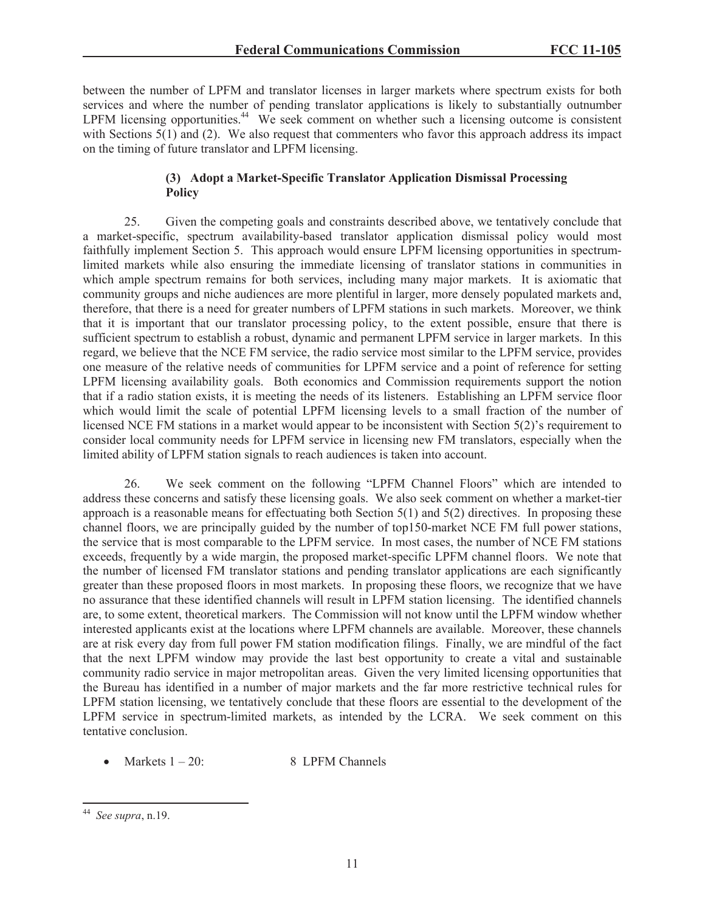between the number of LPFM and translator licenses in larger markets where spectrum exists for both services and where the number of pending translator applications is likely to substantially outnumber LPFM licensing opportunities.<sup>44</sup> We seek comment on whether such a licensing outcome is consistent with Sections  $5(1)$  and (2). We also request that commenters who favor this approach address its impact on the timing of future translator and LPFM licensing.

## **(3) Adopt a Market-Specific Translator Application Dismissal Processing Policy**

25. Given the competing goals and constraints described above, we tentatively conclude that a market-specific, spectrum availability-based translator application dismissal policy would most faithfully implement Section 5. This approach would ensure LPFM licensing opportunities in spectrumlimited markets while also ensuring the immediate licensing of translator stations in communities in which ample spectrum remains for both services, including many major markets. It is axiomatic that community groups and niche audiences are more plentiful in larger, more densely populated markets and, therefore, that there is a need for greater numbers of LPFM stations in such markets. Moreover, we think that it is important that our translator processing policy, to the extent possible, ensure that there is sufficient spectrum to establish a robust, dynamic and permanent LPFM service in larger markets. In this regard, we believe that the NCE FM service, the radio service most similar to the LPFM service, provides one measure of the relative needs of communities for LPFM service and a point of reference for setting LPFM licensing availability goals. Both economics and Commission requirements support the notion that if a radio station exists, it is meeting the needs of its listeners. Establishing an LPFM service floor which would limit the scale of potential LPFM licensing levels to a small fraction of the number of licensed NCE FM stations in a market would appear to be inconsistent with Section 5(2)'s requirement to consider local community needs for LPFM service in licensing new FM translators, especially when the limited ability of LPFM station signals to reach audiences is taken into account.

26. We seek comment on the following "LPFM Channel Floors" which are intended to address these concerns and satisfy these licensing goals. We also seek comment on whether a market-tier approach is a reasonable means for effectuating both Section 5(1) and 5(2) directives. In proposing these channel floors, we are principally guided by the number of top150-market NCE FM full power stations, the service that is most comparable to the LPFM service. In most cases, the number of NCE FM stations exceeds, frequently by a wide margin, the proposed market-specific LPFM channel floors. We note that the number of licensed FM translator stations and pending translator applications are each significantly greater than these proposed floors in most markets. In proposing these floors, we recognize that we have no assurance that these identified channels will result in LPFM station licensing. The identified channels are, to some extent, theoretical markers. The Commission will not know until the LPFM window whether interested applicants exist at the locations where LPFM channels are available. Moreover, these channels are at risk every day from full power FM station modification filings. Finally, we are mindful of the fact that the next LPFM window may provide the last best opportunity to create a vital and sustainable community radio service in major metropolitan areas. Given the very limited licensing opportunities that the Bureau has identified in a number of major markets and the far more restrictive technical rules for LPFM station licensing, we tentatively conclude that these floors are essential to the development of the LPFM service in spectrum-limited markets, as intended by the LCRA. We seek comment on this tentative conclusion.

• Markets  $1 - 20$ : 8 LPFM Channels

<sup>44</sup> *See supra*, n.19.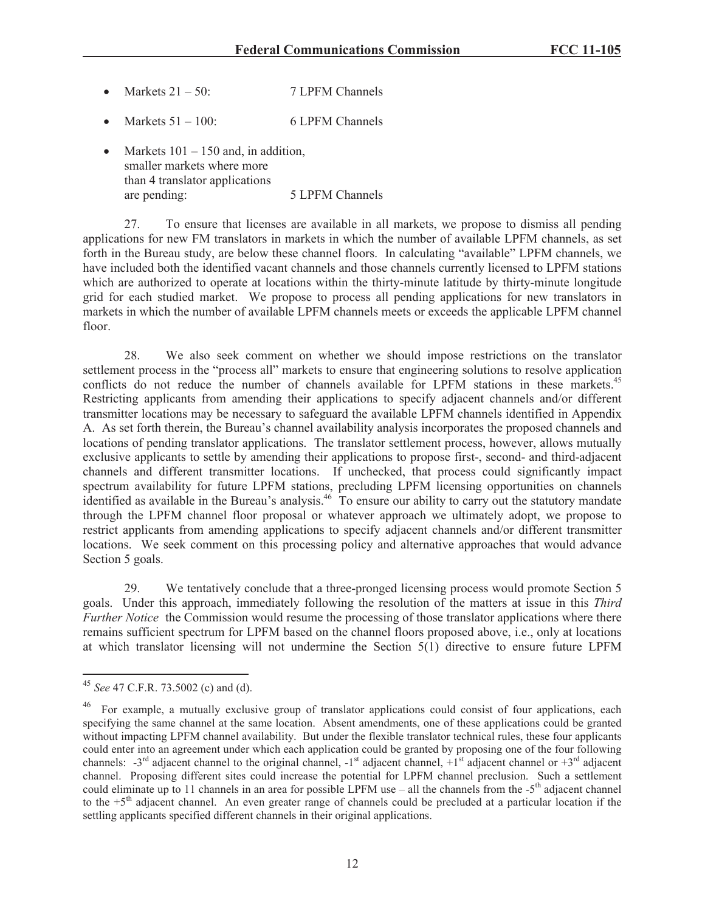- Markets  $21 50$ : 7 LPFM Channels
- Markets  $51 100$ : 6 LPFM Channels
- Markets  $101 150$  and, in addition, smaller markets where more than 4 translator applications are pending: 5 LPFM Channels

27. To ensure that licenses are available in all markets, we propose to dismiss all pending applications for new FM translators in markets in which the number of available LPFM channels, as set forth in the Bureau study, are below these channel floors. In calculating "available" LPFM channels, we have included both the identified vacant channels and those channels currently licensed to LPFM stations which are authorized to operate at locations within the thirty-minute latitude by thirty-minute longitude grid for each studied market. We propose to process all pending applications for new translators in markets in which the number of available LPFM channels meets or exceeds the applicable LPFM channel floor.

28. We also seek comment on whether we should impose restrictions on the translator settlement process in the "process all" markets to ensure that engineering solutions to resolve application conflicts do not reduce the number of channels available for LPFM stations in these markets.<sup>45</sup> Restricting applicants from amending their applications to specify adjacent channels and/or different transmitter locations may be necessary to safeguard the available LPFM channels identified in Appendix A. As set forth therein, the Bureau's channel availability analysis incorporates the proposed channels and locations of pending translator applications. The translator settlement process, however, allows mutually exclusive applicants to settle by amending their applications to propose first-, second- and third-adjacent channels and different transmitter locations. If unchecked, that process could significantly impact spectrum availability for future LPFM stations, precluding LPFM licensing opportunities on channels identified as available in the Bureau's analysis.<sup>46</sup> To ensure our ability to carry out the statutory mandate through the LPFM channel floor proposal or whatever approach we ultimately adopt, we propose to restrict applicants from amending applications to specify adjacent channels and/or different transmitter locations. We seek comment on this processing policy and alternative approaches that would advance Section 5 goals.

29. We tentatively conclude that a three-pronged licensing process would promote Section 5 goals. Under this approach, immediately following the resolution of the matters at issue in this *Third Further Notice* the Commission would resume the processing of those translator applications where there remains sufficient spectrum for LPFM based on the channel floors proposed above, i.e., only at locations at which translator licensing will not undermine the Section 5(1) directive to ensure future LPFM

<sup>45</sup> *See* 47 C.F.R. 73.5002 (c) and (d).

<sup>&</sup>lt;sup>46</sup> For example, a mutually exclusive group of translator applications could consist of four applications, each specifying the same channel at the same location. Absent amendments, one of these applications could be granted without impacting LPFM channel availability. But under the flexible translator technical rules, these four applicants could enter into an agreement under which each application could be granted by proposing one of the four following channels:  $-3^{rd}$  adjacent channel to the original channel,  $-1^{st}$  adjacent channel,  $+1^{st}$  adjacent channel or  $+3^{rd}$  adjacent channel. Proposing different sites could increase the potential for LPFM channel preclusion. Such a settlement could eliminate up to 11 channels in an area for possible LPFM use  $-$  all the channels from the  $-5<sup>th</sup>$  adjacent channel to the  $+5<sup>th</sup>$  adjacent channel. An even greater range of channels could be precluded at a particular location if the settling applicants specified different channels in their original applications.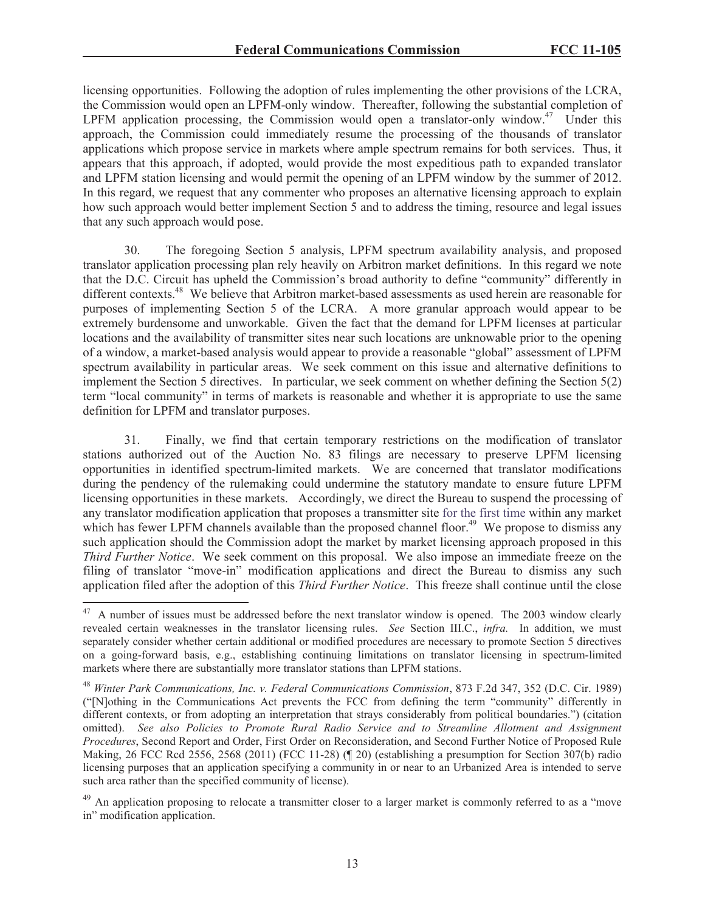licensing opportunities. Following the adoption of rules implementing the other provisions of the LCRA, the Commission would open an LPFM-only window. Thereafter, following the substantial completion of LPFM application processing, the Commission would open a translator-only window.<sup>47</sup> Under this approach, the Commission could immediately resume the processing of the thousands of translator applications which propose service in markets where ample spectrum remains for both services. Thus, it appears that this approach, if adopted, would provide the most expeditious path to expanded translator and LPFM station licensing and would permit the opening of an LPFM window by the summer of 2012. In this regard, we request that any commenter who proposes an alternative licensing approach to explain how such approach would better implement Section 5 and to address the timing, resource and legal issues that any such approach would pose.

30. The foregoing Section 5 analysis, LPFM spectrum availability analysis, and proposed translator application processing plan rely heavily on Arbitron market definitions. In this regard we note that the D.C. Circuit has upheld the Commission's broad authority to define "community" differently in different contexts.<sup>48</sup> We believe that Arbitron market-based assessments as used herein are reasonable for purposes of implementing Section 5 of the LCRA. A more granular approach would appear to be extremely burdensome and unworkable. Given the fact that the demand for LPFM licenses at particular locations and the availability of transmitter sites near such locations are unknowable prior to the opening of a window, a market-based analysis would appear to provide a reasonable "global" assessment of LPFM spectrum availability in particular areas. We seek comment on this issue and alternative definitions to implement the Section 5 directives. In particular, we seek comment on whether defining the Section 5(2) term "local community" in terms of markets is reasonable and whether it is appropriate to use the same definition for LPFM and translator purposes.

31. Finally, we find that certain temporary restrictions on the modification of translator stations authorized out of the Auction No. 83 filings are necessary to preserve LPFM licensing opportunities in identified spectrum-limited markets. We are concerned that translator modifications during the pendency of the rulemaking could undermine the statutory mandate to ensure future LPFM licensing opportunities in these markets. Accordingly, we direct the Bureau to suspend the processing of any translator modification application that proposes a transmitter site for the first time within any market which has fewer LPFM channels available than the proposed channel floor.<sup>49</sup> We propose to dismiss any such application should the Commission adopt the market by market licensing approach proposed in this *Third Further Notice*. We seek comment on this proposal. We also impose an immediate freeze on the filing of translator "move-in" modification applications and direct the Bureau to dismiss any such application filed after the adoption of this *Third Further Notice*. This freeze shall continue until the close

<sup>&</sup>lt;sup>47</sup> A number of issues must be addressed before the next translator window is opened. The 2003 window clearly revealed certain weaknesses in the translator licensing rules. *See* Section III.C., *infra.* In addition, we must separately consider whether certain additional or modified procedures are necessary to promote Section 5 directives on a going-forward basis, e.g., establishing continuing limitations on translator licensing in spectrum-limited markets where there are substantially more translator stations than LPFM stations.

<sup>48</sup> *Winter Park Communications, Inc. v. Federal Communications Commission*, 873 F.2d 347, 352 (D.C. Cir. 1989) ("[N]othing in the Communications Act prevents the FCC from defining the term "community" differently in different contexts, or from adopting an interpretation that strays considerably from political boundaries.") (citation omitted). *See also Policies to Promote Rural Radio Service and to Streamline Allotment and Assignment Procedures*, Second Report and Order, First Order on Reconsideration, and Second Further Notice of Proposed Rule Making, 26 FCC Rcd 2556, 2568 (2011) (FCC 11-28) (¶ 20) (establishing a presumption for Section 307(b) radio licensing purposes that an application specifying a community in or near to an Urbanized Area is intended to serve such area rather than the specified community of license).

 $^{49}$  An application proposing to relocate a transmitter closer to a larger market is commonly referred to as a "move" in" modification application.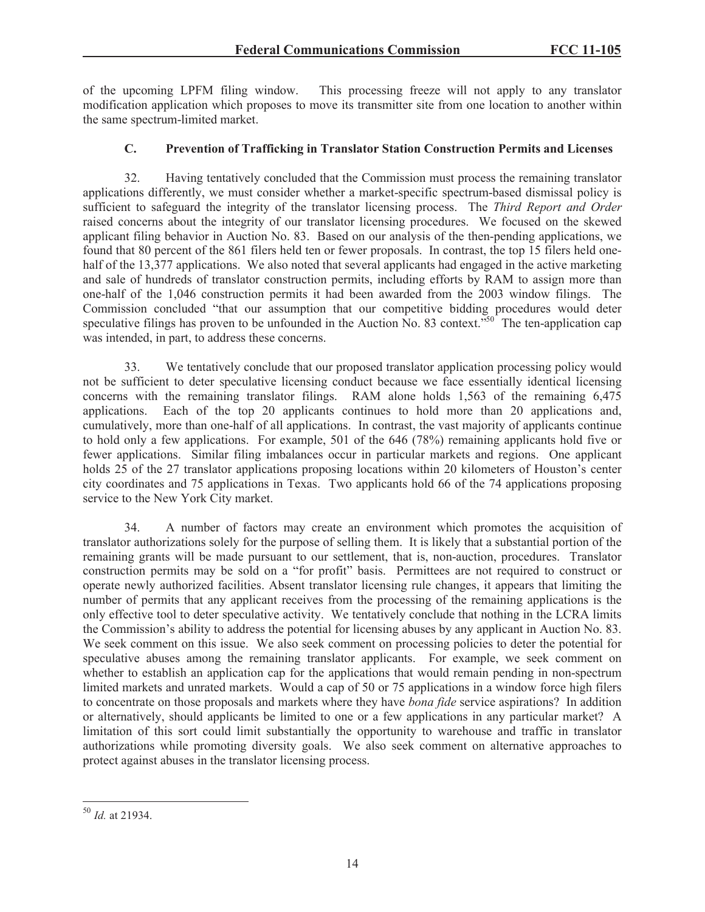of the upcoming LPFM filing window. This processing freeze will not apply to any translator modification application which proposes to move its transmitter site from one location to another within the same spectrum-limited market.

# **C. Prevention of Trafficking in Translator Station Construction Permits and Licenses**

32. Having tentatively concluded that the Commission must process the remaining translator applications differently, we must consider whether a market-specific spectrum-based dismissal policy is sufficient to safeguard the integrity of the translator licensing process. The *Third Report and Order* raised concerns about the integrity of our translator licensing procedures. We focused on the skewed applicant filing behavior in Auction No. 83. Based on our analysis of the then-pending applications, we found that 80 percent of the 861 filers held ten or fewer proposals. In contrast, the top 15 filers held onehalf of the 13,377 applications. We also noted that several applicants had engaged in the active marketing and sale of hundreds of translator construction permits, including efforts by RAM to assign more than one-half of the 1,046 construction permits it had been awarded from the 2003 window filings. The Commission concluded "that our assumption that our competitive bidding procedures would deter speculative filings has proven to be unfounded in the Auction No. 83 context.<sup>550</sup> The ten-application cap was intended, in part, to address these concerns.

33. We tentatively conclude that our proposed translator application processing policy would not be sufficient to deter speculative licensing conduct because we face essentially identical licensing concerns with the remaining translator filings. RAM alone holds 1,563 of the remaining 6,475 applications. Each of the top 20 applicants continues to hold more than 20 applications and, cumulatively, more than one-half of all applications. In contrast, the vast majority of applicants continue to hold only a few applications. For example, 501 of the 646 (78%) remaining applicants hold five or fewer applications. Similar filing imbalances occur in particular markets and regions. One applicant holds 25 of the 27 translator applications proposing locations within 20 kilometers of Houston's center city coordinates and 75 applications in Texas. Two applicants hold 66 of the 74 applications proposing service to the New York City market.

34. A number of factors may create an environment which promotes the acquisition of translator authorizations solely for the purpose of selling them. It is likely that a substantial portion of the remaining grants will be made pursuant to our settlement, that is, non-auction, procedures. Translator construction permits may be sold on a "for profit" basis. Permittees are not required to construct or operate newly authorized facilities. Absent translator licensing rule changes, it appears that limiting the number of permits that any applicant receives from the processing of the remaining applications is the only effective tool to deter speculative activity. We tentatively conclude that nothing in the LCRA limits the Commission's ability to address the potential for licensing abuses by any applicant in Auction No. 83. We seek comment on this issue. We also seek comment on processing policies to deter the potential for speculative abuses among the remaining translator applicants. For example, we seek comment on whether to establish an application cap for the applications that would remain pending in non-spectrum limited markets and unrated markets. Would a cap of 50 or 75 applications in a window force high filers to concentrate on those proposals and markets where they have *bona fide* service aspirations? In addition or alternatively, should applicants be limited to one or a few applications in any particular market? A limitation of this sort could limit substantially the opportunity to warehouse and traffic in translator authorizations while promoting diversity goals. We also seek comment on alternative approaches to protect against abuses in the translator licensing process.

<sup>50</sup> *Id.* at 21934.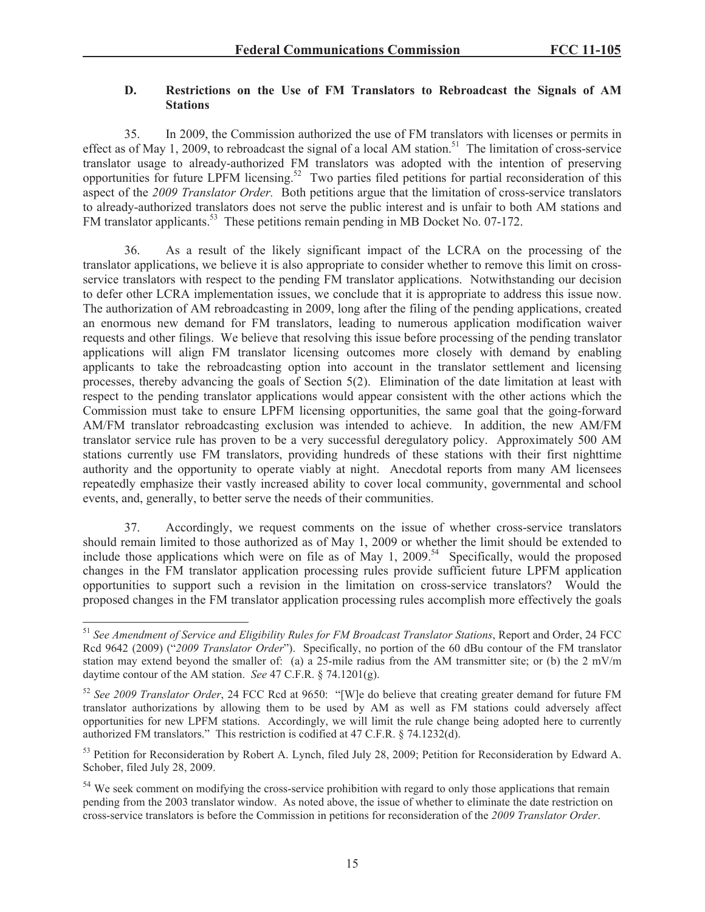### **D. Restrictions on the Use of FM Translators to Rebroadcast the Signals of AM Stations**

35. In 2009, the Commission authorized the use of FM translators with licenses or permits in effect as of May 1, 2009, to rebroadcast the signal of a local AM station.<sup>51</sup> The limitation of cross-service translator usage to already-authorized FM translators was adopted with the intention of preserving opportunities for future LPFM licensing.<sup>52</sup> Two parties filed petitions for partial reconsideration of this aspect of the *2009 Translator Order.* Both petitions argue that the limitation of cross-service translators to already-authorized translators does not serve the public interest and is unfair to both AM stations and FM translator applicants.<sup>53</sup> These petitions remain pending in MB Docket No. 07-172.

36. As a result of the likely significant impact of the LCRA on the processing of the translator applications, we believe it is also appropriate to consider whether to remove this limit on crossservice translators with respect to the pending FM translator applications. Notwithstanding our decision to defer other LCRA implementation issues, we conclude that it is appropriate to address this issue now. The authorization of AM rebroadcasting in 2009, long after the filing of the pending applications, created an enormous new demand for FM translators, leading to numerous application modification waiver requests and other filings. We believe that resolving this issue before processing of the pending translator applications will align FM translator licensing outcomes more closely with demand by enabling applicants to take the rebroadcasting option into account in the translator settlement and licensing processes, thereby advancing the goals of Section 5(2). Elimination of the date limitation at least with respect to the pending translator applications would appear consistent with the other actions which the Commission must take to ensure LPFM licensing opportunities, the same goal that the going-forward AM/FM translator rebroadcasting exclusion was intended to achieve. In addition, the new AM/FM translator service rule has proven to be a very successful deregulatory policy. Approximately 500 AM stations currently use FM translators, providing hundreds of these stations with their first nighttime authority and the opportunity to operate viably at night. Anecdotal reports from many AM licensees repeatedly emphasize their vastly increased ability to cover local community, governmental and school events, and, generally, to better serve the needs of their communities.

37. Accordingly, we request comments on the issue of whether cross-service translators should remain limited to those authorized as of May 1, 2009 or whether the limit should be extended to include those applications which were on file as of May 1, 2009.<sup>54</sup> Specifically, would the proposed changes in the FM translator application processing rules provide sufficient future LPFM application opportunities to support such a revision in the limitation on cross-service translators? Would the proposed changes in the FM translator application processing rules accomplish more effectively the goals

<sup>51</sup> *See Amendment of Service and Eligibility Rules for FM Broadcast Translator Stations*, Report and Order, 24 FCC Rcd 9642 (2009) ("*2009 Translator Order*"). Specifically, no portion of the 60 dBu contour of the FM translator station may extend beyond the smaller of: (a) a 25-mile radius from the AM transmitter site; or (b) the 2 mV/m daytime contour of the AM station. *See* 47 C.F.R. § 74.1201(g).

<sup>52</sup> *See 2009 Translator Order*, 24 FCC Rcd at 9650: "[W]e do believe that creating greater demand for future FM translator authorizations by allowing them to be used by AM as well as FM stations could adversely affect opportunities for new LPFM stations. Accordingly, we will limit the rule change being adopted here to currently authorized FM translators." This restriction is codified at 47 C.F.R. § 74.1232(d).

<sup>&</sup>lt;sup>53</sup> Petition for Reconsideration by Robert A. Lynch, filed July 28, 2009; Petition for Reconsideration by Edward A. Schober, filed July 28, 2009.

 $54$  We seek comment on modifying the cross-service prohibition with regard to only those applications that remain pending from the 2003 translator window. As noted above, the issue of whether to eliminate the date restriction on cross-service translators is before the Commission in petitions for reconsideration of the *2009 Translator Order*.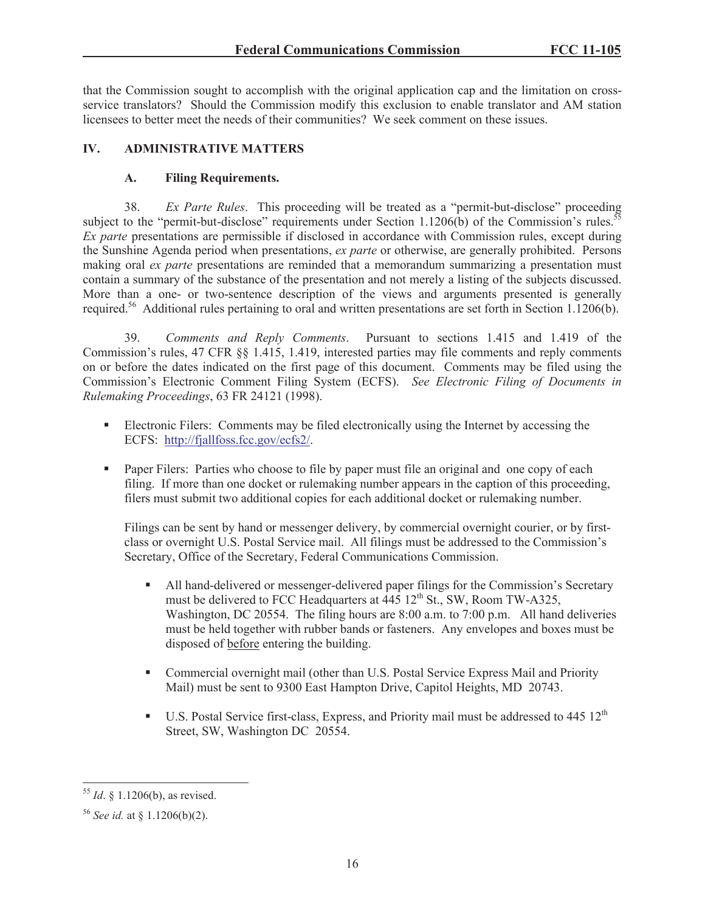that the Commission sought to accomplish with the original application cap and the limitation on crossservice translators? Should the Commission modify this exclusion to enable translator and AM station licensees to better meet the needs of their communities? We seek comment on these issues.

## **IV. ADMINISTRATIVE MATTERS**

## **A. Filing Requirements.**

38. *Ex Parte Rules*. This proceeding will be treated as a "permit-but-disclose" proceeding subject to the "permit-but-disclose" requirements under Section 1.1206(b) of the Commission's rules.<sup>55</sup> *Ex parte* presentations are permissible if disclosed in accordance with Commission rules, except during the Sunshine Agenda period when presentations, *ex parte* or otherwise, are generally prohibited. Persons making oral *ex parte* presentations are reminded that a memorandum summarizing a presentation must contain a summary of the substance of the presentation and not merely a listing of the subjects discussed. More than a one- or two-sentence description of the views and arguments presented is generally required.<sup>56</sup> Additional rules pertaining to oral and written presentations are set forth in Section 1.1206(b).

39. *Comments and Reply Comments*. Pursuant to sections 1.415 and 1.419 of the Commission's rules, 47 CFR §§ 1.415, 1.419, interested parties may file comments and reply comments on or before the dates indicated on the first page of this document. Comments may be filed using the Commission's Electronic Comment Filing System (ECFS). *See Electronic Filing of Documents in Rulemaking Proceedings*, 63 FR 24121 (1998).

- Electronic Filers: Comments may be filed electronically using the Internet by accessing the ECFS: http://fjallfoss.fcc.gov/ecfs2/.
- Paper Filers: Parties who choose to file by paper must file an original and one copy of each filing. If more than one docket or rulemaking number appears in the caption of this proceeding, filers must submit two additional copies for each additional docket or rulemaking number.

Filings can be sent by hand or messenger delivery, by commercial overnight courier, or by firstclass or overnight U.S. Postal Service mail. All filings must be addressed to the Commission's Secretary, Office of the Secretary, Federal Communications Commission.

- All hand-delivered or messenger-delivered paper filings for the Commission's Secretary must be delivered to FCC Headquarters at  $\frac{445}{12}$ th St., SW, Room TW-A325, Washington, DC 20554. The filing hours are 8:00 a.m. to 7:00 p.m. All hand deliveries must be held together with rubber bands or fasteners. Any envelopes and boxes must be disposed of before entering the building.
- Commercial overnight mail (other than U.S. Postal Service Express Mail and Priority Mail) must be sent to 9300 East Hampton Drive, Capitol Heights, MD 20743.
- **•** U.S. Postal Service first-class, Express, and Priority mail must be addressed to 445  $12<sup>th</sup>$ Street, SW, Washington DC 20554.

<sup>55</sup> *Id*. § 1.1206(b), as revised.

<sup>56</sup> *See id.* at § 1.1206(b)(2).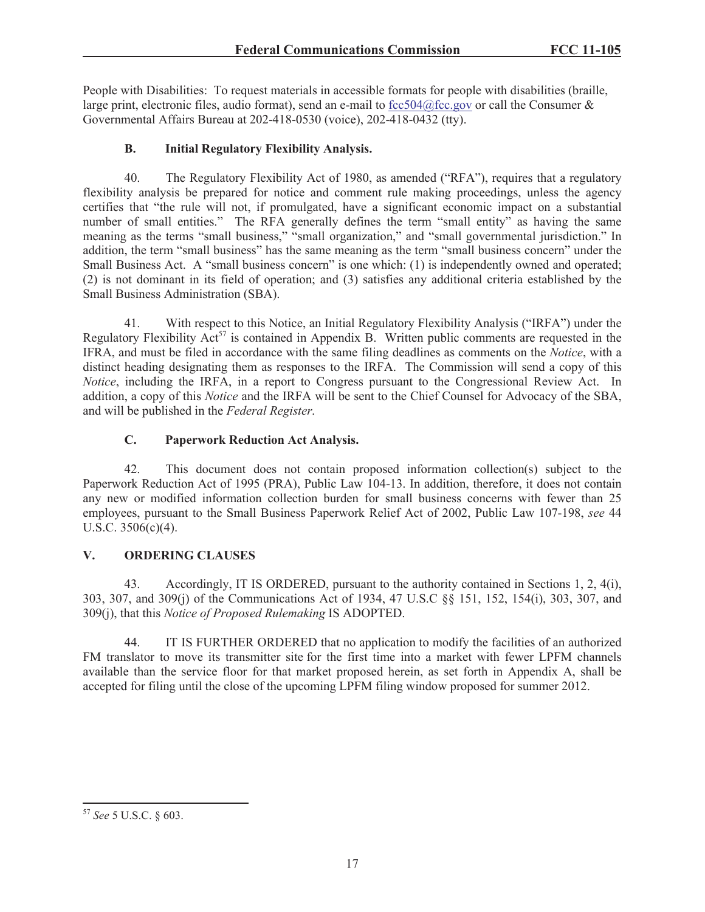People with Disabilities: To request materials in accessible formats for people with disabilities (braille, large print, electronic files, audio format), send an e-mail to fcc504@fcc.gov or call the Consumer  $\&$ Governmental Affairs Bureau at 202-418-0530 (voice), 202-418-0432 (tty).

# **B. Initial Regulatory Flexibility Analysis.**

40. The Regulatory Flexibility Act of 1980, as amended ("RFA"), requires that a regulatory flexibility analysis be prepared for notice and comment rule making proceedings, unless the agency certifies that "the rule will not, if promulgated, have a significant economic impact on a substantial number of small entities." The RFA generally defines the term "small entity" as having the same meaning as the terms "small business," "small organization," and "small governmental jurisdiction." In addition, the term "small business" has the same meaning as the term "small business concern" under the Small Business Act. A "small business concern" is one which: (1) is independently owned and operated; (2) is not dominant in its field of operation; and (3) satisfies any additional criteria established by the Small Business Administration (SBA).

41. With respect to this Notice, an Initial Regulatory Flexibility Analysis ("IRFA") under the Regulatory Flexibility  $\text{Act}^{57}$  is contained in Appendix B. Written public comments are requested in the IFRA, and must be filed in accordance with the same filing deadlines as comments on the *Notice*, with a distinct heading designating them as responses to the IRFA. The Commission will send a copy of this *Notice*, including the IRFA, in a report to Congress pursuant to the Congressional Review Act. In addition, a copy of this *Notice* and the IRFA will be sent to the Chief Counsel for Advocacy of the SBA, and will be published in the *Federal Register*.

# **C. Paperwork Reduction Act Analysis.**

42. This document does not contain proposed information collection(s) subject to the Paperwork Reduction Act of 1995 (PRA), Public Law 104-13. In addition, therefore, it does not contain any new or modified information collection burden for small business concerns with fewer than 25 employees, pursuant to the Small Business Paperwork Relief Act of 2002, Public Law 107-198, *see* 44 U.S.C. 3506(c)(4).

# **V. ORDERING CLAUSES**

43. Accordingly, IT IS ORDERED, pursuant to the authority contained in Sections 1, 2, 4(i), 303, 307, and 309(j) of the Communications Act of 1934, 47 U.S.C §§ 151, 152, 154(i), 303, 307, and 309(j), that this *Notice of Proposed Rulemaking* IS ADOPTED.

44. IT IS FURTHER ORDERED that no application to modify the facilities of an authorized FM translator to move its transmitter site for the first time into a market with fewer LPFM channels available than the service floor for that market proposed herein, as set forth in Appendix A, shall be accepted for filing until the close of the upcoming LPFM filing window proposed for summer 2012.

<sup>57</sup> *See* 5 U.S.C. § 603.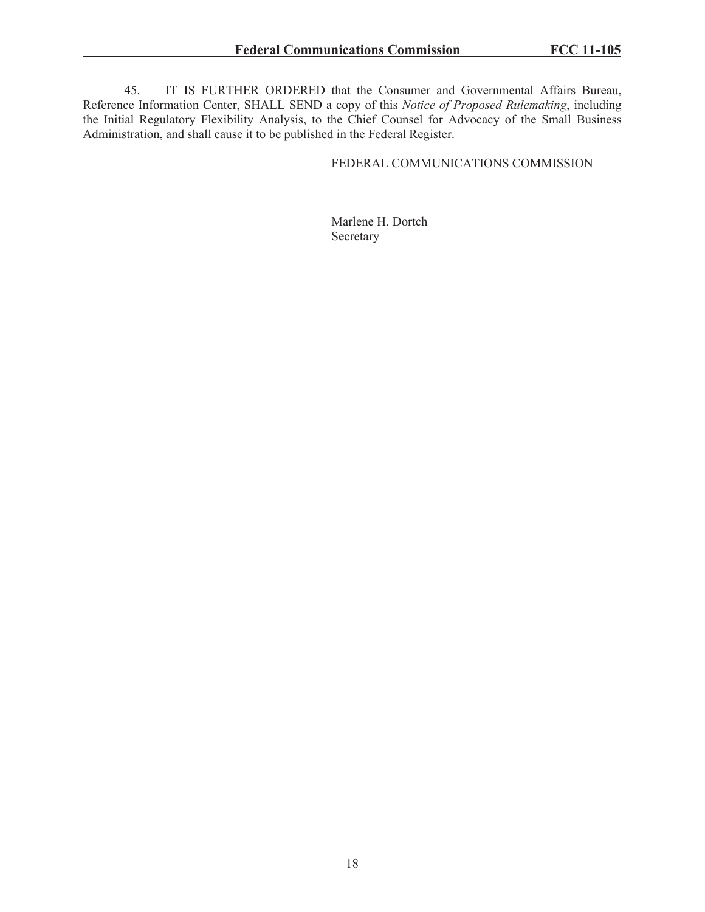45. IT IS FURTHER ORDERED that the Consumer and Governmental Affairs Bureau, Reference Information Center, SHALL SEND a copy of this *Notice of Proposed Rulemaking*, including the Initial Regulatory Flexibility Analysis, to the Chief Counsel for Advocacy of the Small Business Administration, and shall cause it to be published in the Federal Register.

## FEDERAL COMMUNICATIONS COMMISSION

Marlene H. Dortch Secretary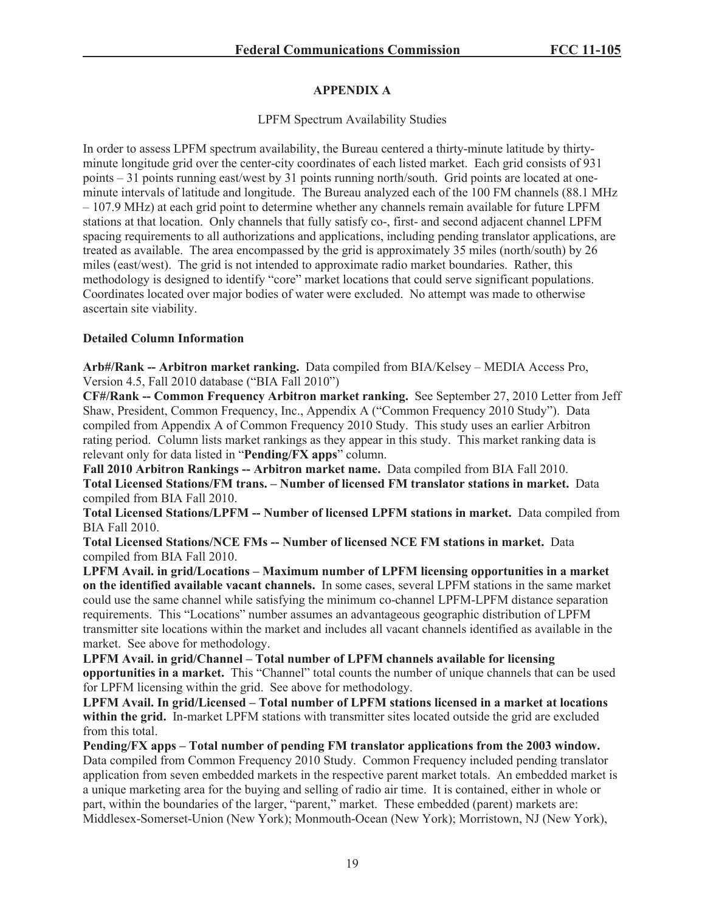## **APPENDIX A**

## LPFM Spectrum Availability Studies

In order to assess LPFM spectrum availability, the Bureau centered a thirty-minute latitude by thirtyminute longitude grid over the center-city coordinates of each listed market. Each grid consists of 931 points – 31 points running east/west by 31 points running north/south. Grid points are located at oneminute intervals of latitude and longitude. The Bureau analyzed each of the 100 FM channels (88.1 MHz – 107.9 MHz) at each grid point to determine whether any channels remain available for future LPFM stations at that location. Only channels that fully satisfy co-, first- and second adjacent channel LPFM spacing requirements to all authorizations and applications, including pending translator applications, are treated as available. The area encompassed by the grid is approximately 35 miles (north/south) by 26 miles (east/west). The grid is not intended to approximate radio market boundaries. Rather, this methodology is designed to identify "core" market locations that could serve significant populations. Coordinates located over major bodies of water were excluded. No attempt was made to otherwise ascertain site viability.

### **Detailed Column Information**

**Arb#/Rank -- Arbitron market ranking.** Data compiled from BIA/Kelsey – MEDIA Access Pro, Version 4.5, Fall 2010 database ("BIA Fall 2010")

**CF#/Rank -- Common Frequency Arbitron market ranking.** See September 27, 2010 Letter from Jeff Shaw, President, Common Frequency, Inc., Appendix A ("Common Frequency 2010 Study"). Data compiled from Appendix A of Common Frequency 2010 Study. This study uses an earlier Arbitron rating period. Column lists market rankings as they appear in this study. This market ranking data is relevant only for data listed in "**Pending/FX apps**" column.

**Fall 2010 Arbitron Rankings -- Arbitron market name.** Data compiled from BIA Fall 2010. **Total Licensed Stations/FM trans. – Number of licensed FM translator stations in market.** Data compiled from BIA Fall 2010.

**Total Licensed Stations/LPFM -- Number of licensed LPFM stations in market.** Data compiled from BIA Fall 2010.

**Total Licensed Stations/NCE FMs -- Number of licensed NCE FM stations in market.** Data compiled from BIA Fall 2010.

**LPFM Avail. in grid/Locations – Maximum number of LPFM licensing opportunities in a market on the identified available vacant channels.** In some cases, several LPFM stations in the same market could use the same channel while satisfying the minimum co-channel LPFM-LPFM distance separation requirements. This "Locations" number assumes an advantageous geographic distribution of LPFM transmitter site locations within the market and includes all vacant channels identified as available in the market. See above for methodology.

**LPFM Avail. in grid/Channel – Total number of LPFM channels available for licensing opportunities in a market.** This "Channel" total counts the number of unique channels that can be used for LPFM licensing within the grid. See above for methodology.

**LPFM Avail. In grid/Licensed – Total number of LPFM stations licensed in a market at locations within the grid.** In-market LPFM stations with transmitter sites located outside the grid are excluded from this total.

**Pending/FX apps – Total number of pending FM translator applications from the 2003 window.**  Data compiled from Common Frequency 2010 Study. Common Frequency included pending translator application from seven embedded markets in the respective parent market totals. An embedded market is a unique marketing area for the buying and selling of radio air time. It is contained, either in whole or part, within the boundaries of the larger, "parent," market. These embedded (parent) markets are: Middlesex-Somerset-Union (New York); Monmouth-Ocean (New York); Morristown, NJ (New York),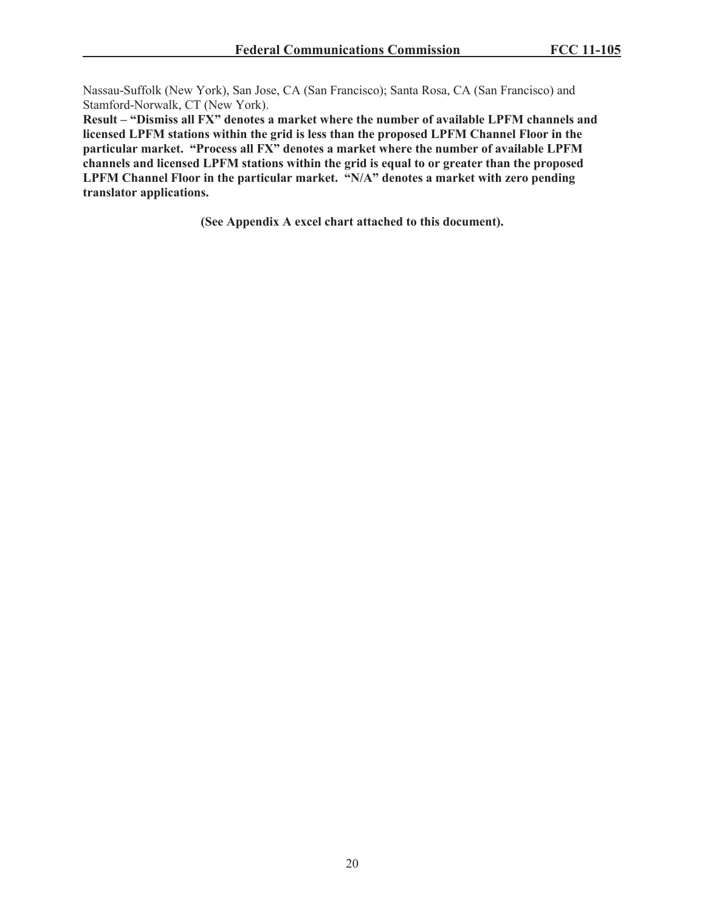Nassau-Suffolk (New York), San Jose, CA (San Francisco); Santa Rosa, CA (San Francisco) and Stamford-Norwalk, CT (New York).

**Result – "Dismiss all FX" denotes a market where the number of available LPFM channels and licensed LPFM stations within the grid is less than the proposed LPFM Channel Floor in the particular market. "Process all FX" denotes a market where the number of available LPFM channels and licensed LPFM stations within the grid is equal to or greater than the proposed LPFM Channel Floor in the particular market. "N/A" denotes a market with zero pending translator applications.** 

**(See Appendix A excel chart attached to this document).**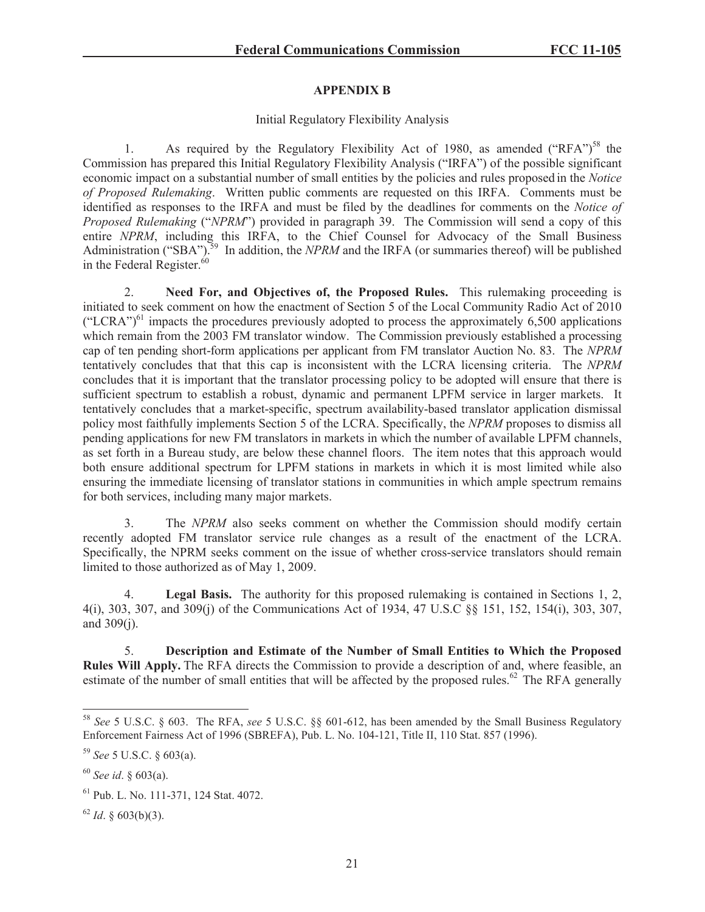## **APPENDIX B**

### Initial Regulatory Flexibility Analysis

1. As required by the Regulatory Flexibility Act of 1980, as amended ("RFA")<sup>58</sup> the Commission has prepared this Initial Regulatory Flexibility Analysis ("IRFA") of the possible significant economic impact on a substantial number of small entities by the policies and rules proposed in the *Notice of Proposed Rulemaking*. Written public comments are requested on this IRFA. Comments must be identified as responses to the IRFA and must be filed by the deadlines for comments on the *Notice of Proposed Rulemaking* ("*NPRM*") provided in paragraph 39. The Commission will send a copy of this entire *NPRM*, including this IRFA, to the Chief Counsel for Advocacy of the Small Business Administration ("SBA").<sup>59</sup> In addition, the *NPRM* and the IRFA (or summaries thereof) will be published in the Federal Register.<sup>60</sup>

2. **Need For, and Objectives of, the Proposed Rules.** This rulemaking proceeding is initiated to seek comment on how the enactment of Section 5 of the Local Community Radio Act of 2010 ("LCRA")<sup>61</sup> impacts the procedures previously adopted to process the approximately 6,500 applications which remain from the 2003 FM translator window. The Commission previously established a processing cap of ten pending short-form applications per applicant from FM translator Auction No. 83. The *NPRM* tentatively concludes that that this cap is inconsistent with the LCRA licensing criteria. The *NPRM* concludes that it is important that the translator processing policy to be adopted will ensure that there is sufficient spectrum to establish a robust, dynamic and permanent LPFM service in larger markets. It tentatively concludes that a market-specific, spectrum availability-based translator application dismissal policy most faithfully implements Section 5 of the LCRA. Specifically, the *NPRM* proposes to dismiss all pending applications for new FM translators in markets in which the number of available LPFM channels, as set forth in a Bureau study, are below these channel floors. The item notes that this approach would both ensure additional spectrum for LPFM stations in markets in which it is most limited while also ensuring the immediate licensing of translator stations in communities in which ample spectrum remains for both services, including many major markets.

3. The *NPRM* also seeks comment on whether the Commission should modify certain recently adopted FM translator service rule changes as a result of the enactment of the LCRA. Specifically, the NPRM seeks comment on the issue of whether cross-service translators should remain limited to those authorized as of May 1, 2009.

4. **Legal Basis.** The authority for this proposed rulemaking is contained in Sections 1, 2, 4(i), 303, 307, and 309(j) of the Communications Act of 1934, 47 U.S.C §§ 151, 152, 154(i), 303, 307, and 309(j).

5. **Description and Estimate of the Number of Small Entities to Which the Proposed Rules Will Apply.** The RFA directs the Commission to provide a description of and, where feasible, an estimate of the number of small entities that will be affected by the proposed rules.<sup>62</sup> The RFA generally

<sup>58</sup> *See* 5 U.S.C. § 603. The RFA, *see* 5 U.S.C. §§ 601-612, has been amended by the Small Business Regulatory Enforcement Fairness Act of 1996 (SBREFA), Pub. L. No. 104-121, Title II, 110 Stat. 857 (1996).

<sup>59</sup> *See* 5 U.S.C. § 603(a).

<sup>60</sup> *See id*. § 603(a).

<sup>61</sup> Pub. L. No. 111-371, 124 Stat. 4072.

 $62$  *Id.* § 603(b)(3).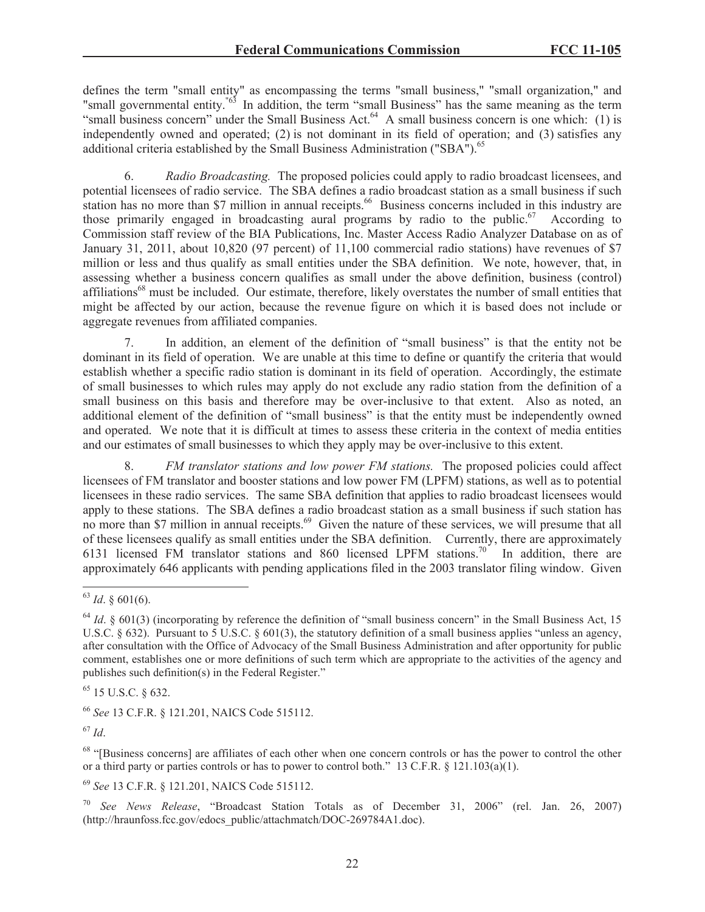defines the term "small entity" as encompassing the terms "small business," "small organization," and "small governmental entity."63 In addition, the term "small Business" has the same meaning as the term "small business concern" under the Small Business Act. $^{64}$  A small business concern is one which: (1) is independently owned and operated; (2) is not dominant in its field of operation; and (3) satisfies any additional criteria established by the Small Business Administration ("SBA").<sup>65</sup>

6. *Radio Broadcasting.* The proposed policies could apply to radio broadcast licensees, and potential licensees of radio service. The SBA defines a radio broadcast station as a small business if such station has no more than \$7 million in annual receipts.<sup>66</sup> Business concerns included in this industry are those primarily engaged in broadcasting aural programs by radio to the public. $67$  According to Commission staff review of the BIA Publications, Inc. Master Access Radio Analyzer Database on as of January 31, 2011, about 10,820 (97 percent) of 11,100 commercial radio stations) have revenues of \$7 million or less and thus qualify as small entities under the SBA definition. We note, however, that, in assessing whether a business concern qualifies as small under the above definition, business (control) affiliations<sup>68</sup> must be included. Our estimate, therefore, likely overstates the number of small entities that might be affected by our action, because the revenue figure on which it is based does not include or aggregate revenues from affiliated companies.

7. In addition, an element of the definition of "small business" is that the entity not be dominant in its field of operation. We are unable at this time to define or quantify the criteria that would establish whether a specific radio station is dominant in its field of operation. Accordingly, the estimate of small businesses to which rules may apply do not exclude any radio station from the definition of a small business on this basis and therefore may be over-inclusive to that extent. Also as noted, an additional element of the definition of "small business" is that the entity must be independently owned and operated. We note that it is difficult at times to assess these criteria in the context of media entities and our estimates of small businesses to which they apply may be over-inclusive to this extent.

8. *FM translator stations and low power FM stations.* The proposed policies could affect licensees of FM translator and booster stations and low power FM (LPFM) stations, as well as to potential licensees in these radio services. The same SBA definition that applies to radio broadcast licensees would apply to these stations. The SBA defines a radio broadcast station as a small business if such station has no more than \$7 million in annual receipts.<sup>69</sup> Given the nature of these services, we will presume that all of these licensees qualify as small entities under the SBA definition. Currently, there are approximately 6131 licensed FM translator stations and 860 licensed LPFM stations.<sup>70</sup> In addition, there are approximately 646 applicants with pending applications filed in the 2003 translator filing window. Given

<sup>66</sup> *See* 13 C.F.R. § 121.201, NAICS Code 515112.

 $^{67}$  *Id.* 

<sup>68</sup> "[Business concerns] are affiliates of each other when one concern controls or has the power to control the other or a third party or parties controls or has to power to control both." 13 C.F.R. § 121.103(a)(1).

<sup>69</sup> *See* 13 C.F.R. § 121.201, NAICS Code 515112.

<sup>70</sup> *See News Release*, "Broadcast Station Totals as of December 31, 2006" (rel. Jan. 26, 2007) (http://hraunfoss.fcc.gov/edocs\_public/attachmatch/DOC-269784A1.doc).

<sup>63</sup> *Id*. § 601(6).

 $^{64}$  *Id.* § 601(3) (incorporating by reference the definition of "small business concern" in the Small Business Act, 15 U.S.C.  $\S 632$ ). Pursuant to 5 U.S.C.  $\S 601(3)$ , the statutory definition of a small business applies "unless an agency, after consultation with the Office of Advocacy of the Small Business Administration and after opportunity for public comment, establishes one or more definitions of such term which are appropriate to the activities of the agency and publishes such definition(s) in the Federal Register."

<sup>65</sup> 15 U.S.C. § 632.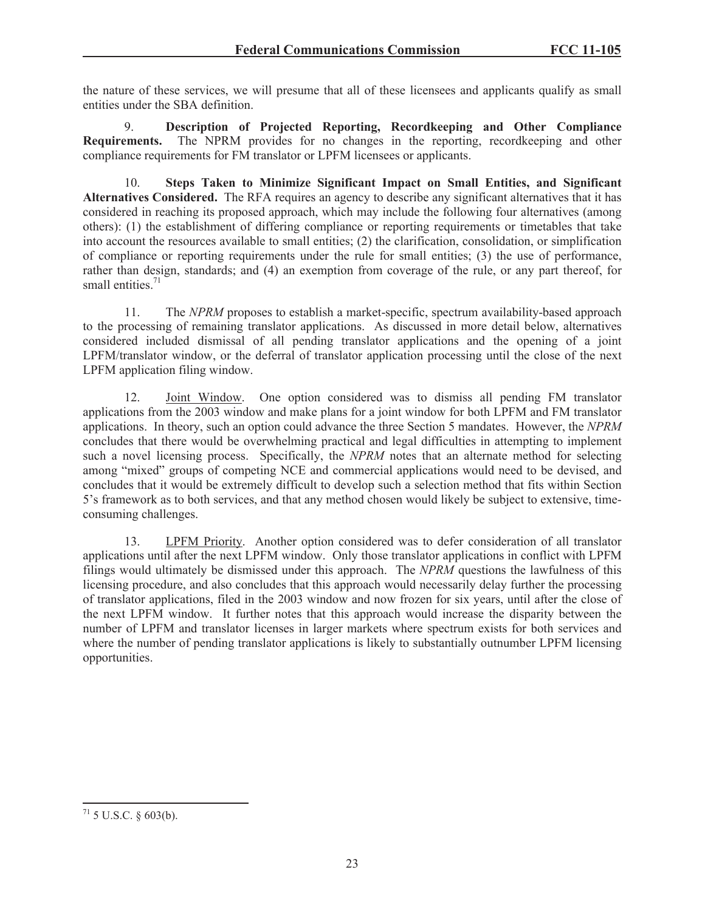the nature of these services, we will presume that all of these licensees and applicants qualify as small entities under the SBA definition.

9. **Description of Projected Reporting, Recordkeeping and Other Compliance Requirements.** The NPRM provides for no changes in the reporting, recordkeeping and other compliance requirements for FM translator or LPFM licensees or applicants.

10. **Steps Taken to Minimize Significant Impact on Small Entities, and Significant Alternatives Considered.** The RFA requires an agency to describe any significant alternatives that it has considered in reaching its proposed approach, which may include the following four alternatives (among others): (1) the establishment of differing compliance or reporting requirements or timetables that take into account the resources available to small entities; (2) the clarification, consolidation, or simplification of compliance or reporting requirements under the rule for small entities; (3) the use of performance, rather than design, standards; and (4) an exemption from coverage of the rule, or any part thereof, for small entities. $71$ 

11. The *NPRM* proposes to establish a market-specific, spectrum availability-based approach to the processing of remaining translator applications. As discussed in more detail below, alternatives considered included dismissal of all pending translator applications and the opening of a joint LPFM/translator window, or the deferral of translator application processing until the close of the next LPFM application filing window.

12. Joint Window. One option considered was to dismiss all pending FM translator applications from the 2003 window and make plans for a joint window for both LPFM and FM translator applications. In theory, such an option could advance the three Section 5 mandates. However, the *NPRM* concludes that there would be overwhelming practical and legal difficulties in attempting to implement such a novel licensing process. Specifically, the *NPRM* notes that an alternate method for selecting among "mixed" groups of competing NCE and commercial applications would need to be devised, and concludes that it would be extremely difficult to develop such a selection method that fits within Section 5's framework as to both services, and that any method chosen would likely be subject to extensive, timeconsuming challenges.

13. LPFM Priority. Another option considered was to defer consideration of all translator applications until after the next LPFM window. Only those translator applications in conflict with LPFM filings would ultimately be dismissed under this approach. The *NPRM* questions the lawfulness of this licensing procedure, and also concludes that this approach would necessarily delay further the processing of translator applications, filed in the 2003 window and now frozen for six years, until after the close of the next LPFM window. It further notes that this approach would increase the disparity between the number of LPFM and translator licenses in larger markets where spectrum exists for both services and where the number of pending translator applications is likely to substantially outnumber LPFM licensing opportunities.

 $71$  5 U.S.C. § 603(b).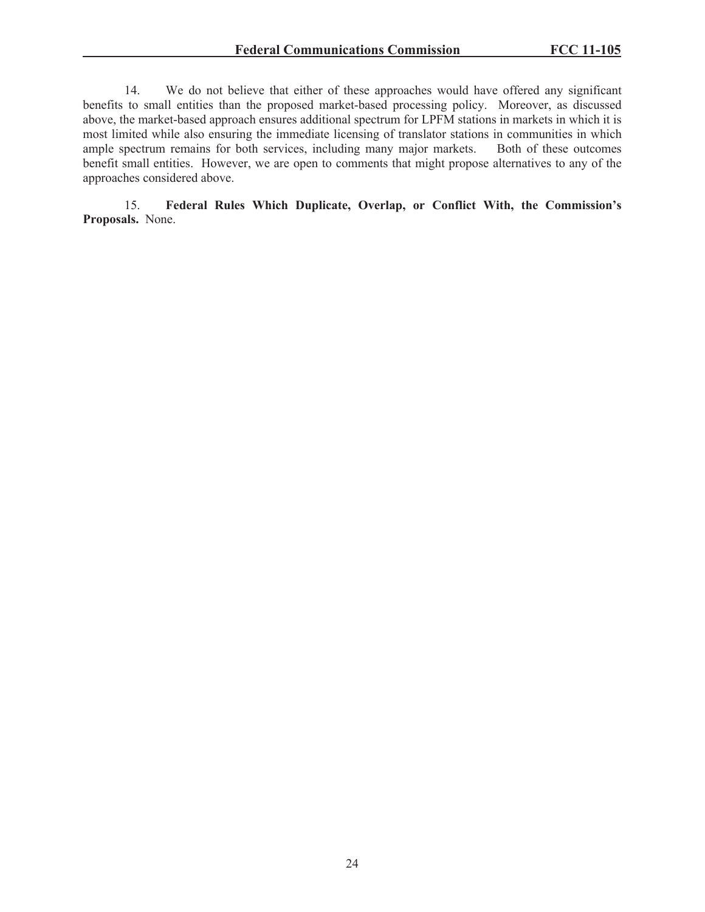14. We do not believe that either of these approaches would have offered any significant benefits to small entities than the proposed market-based processing policy. Moreover, as discussed above, the market-based approach ensures additional spectrum for LPFM stations in markets in which it is most limited while also ensuring the immediate licensing of translator stations in communities in which ample spectrum remains for both services, including many major markets. Both of these outcomes benefit small entities. However, we are open to comments that might propose alternatives to any of the approaches considered above.

15. **Federal Rules Which Duplicate, Overlap, or Conflict With, the Commission's Proposals.** None.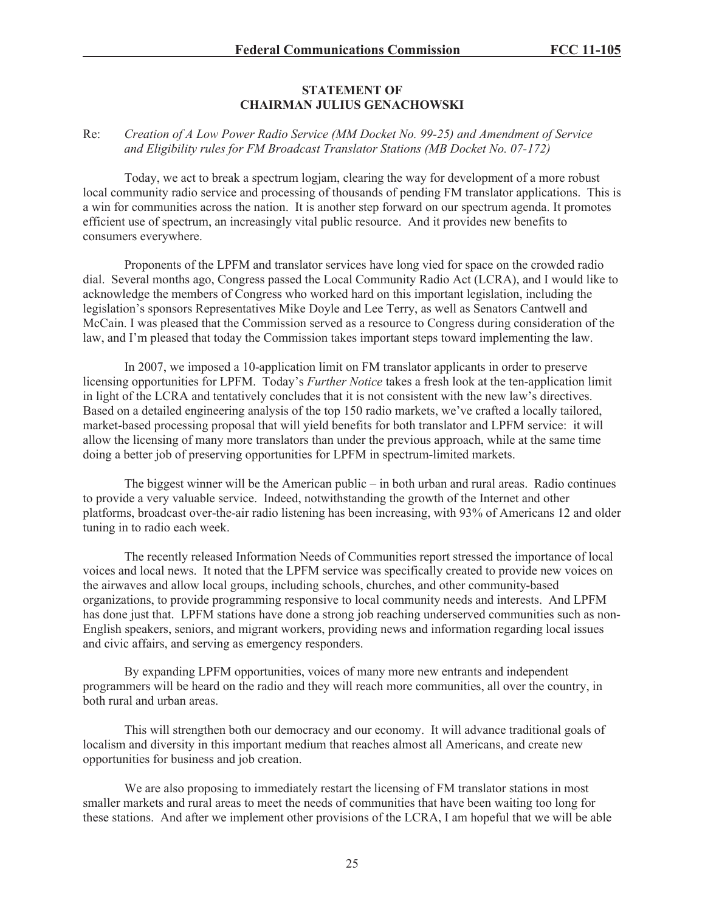### **STATEMENT OF CHAIRMAN JULIUS GENACHOWSKI**

### Re: *Creation of A Low Power Radio Service (MM Docket No. 99-25) and Amendment of Service and Eligibility rules for FM Broadcast Translator Stations (MB Docket No. 07-172)*

Today, we act to break a spectrum logjam, clearing the way for development of a more robust local community radio service and processing of thousands of pending FM translator applications. This is a win for communities across the nation. It is another step forward on our spectrum agenda. It promotes efficient use of spectrum, an increasingly vital public resource. And it provides new benefits to consumers everywhere.

Proponents of the LPFM and translator services have long vied for space on the crowded radio dial. Several months ago, Congress passed the Local Community Radio Act (LCRA), and I would like to acknowledge the members of Congress who worked hard on this important legislation, including the legislation's sponsors Representatives Mike Doyle and Lee Terry, as well as Senators Cantwell and McCain. I was pleased that the Commission served as a resource to Congress during consideration of the law, and I'm pleased that today the Commission takes important steps toward implementing the law.

In 2007, we imposed a 10-application limit on FM translator applicants in order to preserve licensing opportunities for LPFM. Today's *Further Notice* takes a fresh look at the ten-application limit in light of the LCRA and tentatively concludes that it is not consistent with the new law's directives. Based on a detailed engineering analysis of the top 150 radio markets, we've crafted a locally tailored, market-based processing proposal that will yield benefits for both translator and LPFM service: it will allow the licensing of many more translators than under the previous approach, while at the same time doing a better job of preserving opportunities for LPFM in spectrum-limited markets.

The biggest winner will be the American public – in both urban and rural areas. Radio continues to provide a very valuable service. Indeed, notwithstanding the growth of the Internet and other platforms, broadcast over-the-air radio listening has been increasing, with 93% of Americans 12 and older tuning in to radio each week.

The recently released Information Needs of Communities report stressed the importance of local voices and local news. It noted that the LPFM service was specifically created to provide new voices on the airwaves and allow local groups, including schools, churches, and other community-based organizations, to provide programming responsive to local community needs and interests. And LPFM has done just that. LPFM stations have done a strong job reaching underserved communities such as non-English speakers, seniors, and migrant workers, providing news and information regarding local issues and civic affairs, and serving as emergency responders.

By expanding LPFM opportunities, voices of many more new entrants and independent programmers will be heard on the radio and they will reach more communities, all over the country, in both rural and urban areas.

This will strengthen both our democracy and our economy. It will advance traditional goals of localism and diversity in this important medium that reaches almost all Americans, and create new opportunities for business and job creation.

We are also proposing to immediately restart the licensing of FM translator stations in most smaller markets and rural areas to meet the needs of communities that have been waiting too long for these stations. And after we implement other provisions of the LCRA, I am hopeful that we will be able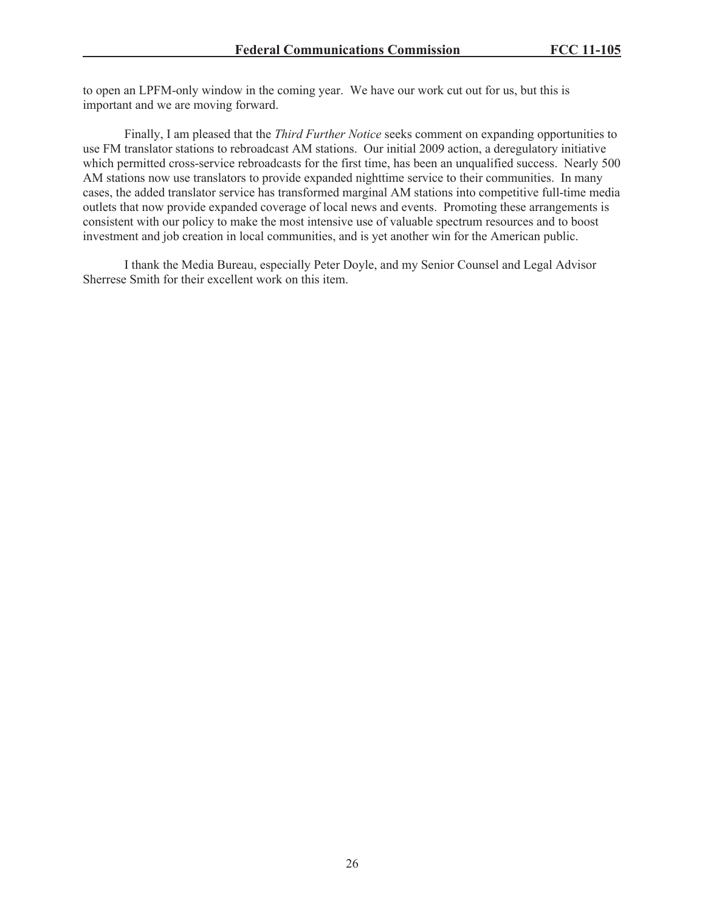to open an LPFM-only window in the coming year. We have our work cut out for us, but this is important and we are moving forward.

Finally, I am pleased that the *Third Further Notice* seeks comment on expanding opportunities to use FM translator stations to rebroadcast AM stations. Our initial 2009 action, a deregulatory initiative which permitted cross-service rebroadcasts for the first time, has been an unqualified success. Nearly 500 AM stations now use translators to provide expanded nighttime service to their communities. In many cases, the added translator service has transformed marginal AM stations into competitive full-time media outlets that now provide expanded coverage of local news and events. Promoting these arrangements is consistent with our policy to make the most intensive use of valuable spectrum resources and to boost investment and job creation in local communities, and is yet another win for the American public.

I thank the Media Bureau, especially Peter Doyle, and my Senior Counsel and Legal Advisor Sherrese Smith for their excellent work on this item.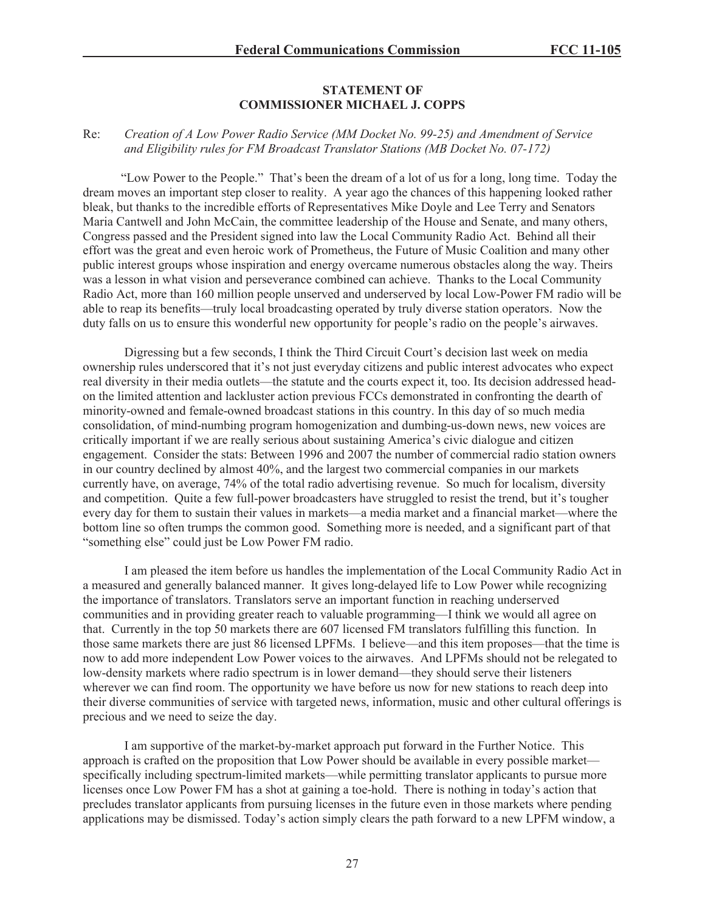#### **STATEMENT OF COMMISSIONER MICHAEL J. COPPS**

### Re: *Creation of A Low Power Radio Service (MM Docket No. 99-25) and Amendment of Service and Eligibility rules for FM Broadcast Translator Stations (MB Docket No. 07-172)*

"Low Power to the People." That's been the dream of a lot of us for a long, long time. Today the dream moves an important step closer to reality. A year ago the chances of this happening looked rather bleak, but thanks to the incredible efforts of Representatives Mike Doyle and Lee Terry and Senators Maria Cantwell and John McCain, the committee leadership of the House and Senate, and many others, Congress passed and the President signed into law the Local Community Radio Act. Behind all their effort was the great and even heroic work of Prometheus, the Future of Music Coalition and many other public interest groups whose inspiration and energy overcame numerous obstacles along the way. Theirs was a lesson in what vision and perseverance combined can achieve. Thanks to the Local Community Radio Act, more than 160 million people unserved and underserved by local Low-Power FM radio will be able to reap its benefits—truly local broadcasting operated by truly diverse station operators. Now the duty falls on us to ensure this wonderful new opportunity for people's radio on the people's airwaves.

Digressing but a few seconds, I think the Third Circuit Court's decision last week on media ownership rules underscored that it's not just everyday citizens and public interest advocates who expect real diversity in their media outlets—the statute and the courts expect it, too. Its decision addressed headon the limited attention and lackluster action previous FCCs demonstrated in confronting the dearth of minority-owned and female-owned broadcast stations in this country. In this day of so much media consolidation, of mind-numbing program homogenization and dumbing-us-down news, new voices are critically important if we are really serious about sustaining America's civic dialogue and citizen engagement. Consider the stats: Between 1996 and 2007 the number of commercial radio station owners in our country declined by almost 40%, and the largest two commercial companies in our markets currently have, on average, 74% of the total radio advertising revenue. So much for localism, diversity and competition. Quite a few full-power broadcasters have struggled to resist the trend, but it's tougher every day for them to sustain their values in markets—a media market and a financial market—where the bottom line so often trumps the common good. Something more is needed, and a significant part of that "something else" could just be Low Power FM radio.

I am pleased the item before us handles the implementation of the Local Community Radio Act in a measured and generally balanced manner. It gives long-delayed life to Low Power while recognizing the importance of translators. Translators serve an important function in reaching underserved communities and in providing greater reach to valuable programming—I think we would all agree on that. Currently in the top 50 markets there are 607 licensed FM translators fulfilling this function. In those same markets there are just 86 licensed LPFMs. I believe—and this item proposes—that the time is now to add more independent Low Power voices to the airwaves. And LPFMs should not be relegated to low-density markets where radio spectrum is in lower demand—they should serve their listeners wherever we can find room. The opportunity we have before us now for new stations to reach deep into their diverse communities of service with targeted news, information, music and other cultural offerings is precious and we need to seize the day.

I am supportive of the market-by-market approach put forward in the Further Notice. This approach is crafted on the proposition that Low Power should be available in every possible market specifically including spectrum-limited markets—while permitting translator applicants to pursue more licenses once Low Power FM has a shot at gaining a toe-hold. There is nothing in today's action that precludes translator applicants from pursuing licenses in the future even in those markets where pending applications may be dismissed. Today's action simply clears the path forward to a new LPFM window, a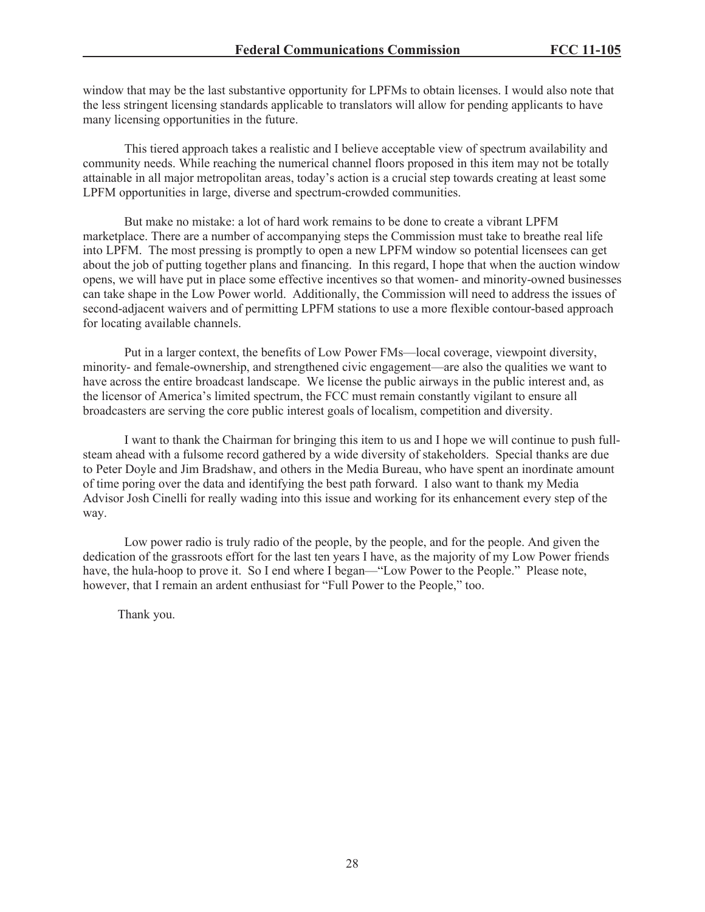window that may be the last substantive opportunity for LPFMs to obtain licenses. I would also note that the less stringent licensing standards applicable to translators will allow for pending applicants to have many licensing opportunities in the future.

This tiered approach takes a realistic and I believe acceptable view of spectrum availability and community needs. While reaching the numerical channel floors proposed in this item may not be totally attainable in all major metropolitan areas, today's action is a crucial step towards creating at least some LPFM opportunities in large, diverse and spectrum-crowded communities.

But make no mistake: a lot of hard work remains to be done to create a vibrant LPFM marketplace. There are a number of accompanying steps the Commission must take to breathe real life into LPFM. The most pressing is promptly to open a new LPFM window so potential licensees can get about the job of putting together plans and financing. In this regard, I hope that when the auction window opens, we will have put in place some effective incentives so that women- and minority-owned businesses can take shape in the Low Power world. Additionally, the Commission will need to address the issues of second-adjacent waivers and of permitting LPFM stations to use a more flexible contour-based approach for locating available channels.

Put in a larger context, the benefits of Low Power FMs—local coverage, viewpoint diversity, minority- and female-ownership, and strengthened civic engagement—are also the qualities we want to have across the entire broadcast landscape. We license the public airways in the public interest and, as the licensor of America's limited spectrum, the FCC must remain constantly vigilant to ensure all broadcasters are serving the core public interest goals of localism, competition and diversity.

I want to thank the Chairman for bringing this item to us and I hope we will continue to push fullsteam ahead with a fulsome record gathered by a wide diversity of stakeholders. Special thanks are due to Peter Doyle and Jim Bradshaw, and others in the Media Bureau, who have spent an inordinate amount of time poring over the data and identifying the best path forward. I also want to thank my Media Advisor Josh Cinelli for really wading into this issue and working for its enhancement every step of the way.

Low power radio is truly radio of the people, by the people, and for the people. And given the dedication of the grassroots effort for the last ten years I have, as the majority of my Low Power friends have, the hula-hoop to prove it. So I end where I began—"Low Power to the People." Please note, however, that I remain an ardent enthusiast for "Full Power to the People," too.

Thank you.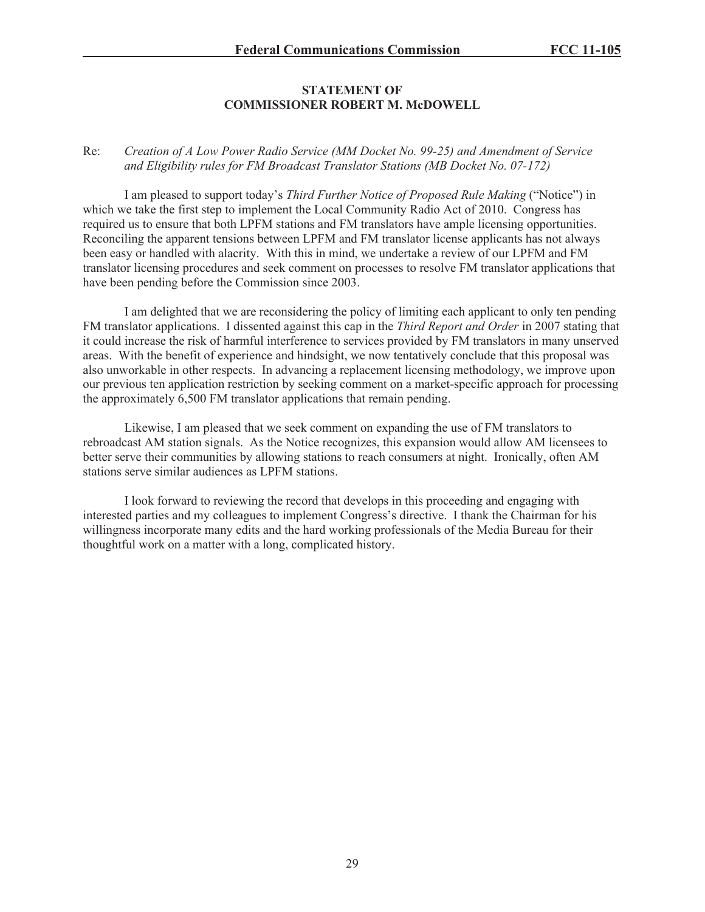## **STATEMENT OF COMMISSIONER ROBERT M. McDOWELL**

### Re: *Creation of A Low Power Radio Service (MM Docket No. 99-25) and Amendment of Service and Eligibility rules for FM Broadcast Translator Stations (MB Docket No. 07-172)*

I am pleased to support today's *Third Further Notice of Proposed Rule Making* ("Notice") in which we take the first step to implement the Local Community Radio Act of 2010. Congress has required us to ensure that both LPFM stations and FM translators have ample licensing opportunities. Reconciling the apparent tensions between LPFM and FM translator license applicants has not always been easy or handled with alacrity. With this in mind, we undertake a review of our LPFM and FM translator licensing procedures and seek comment on processes to resolve FM translator applications that have been pending before the Commission since 2003.

I am delighted that we are reconsidering the policy of limiting each applicant to only ten pending FM translator applications. I dissented against this cap in the *Third Report and Order* in 2007 stating that it could increase the risk of harmful interference to services provided by FM translators in many unserved areas. With the benefit of experience and hindsight, we now tentatively conclude that this proposal was also unworkable in other respects. In advancing a replacement licensing methodology, we improve upon our previous ten application restriction by seeking comment on a market-specific approach for processing the approximately 6,500 FM translator applications that remain pending.

Likewise, I am pleased that we seek comment on expanding the use of FM translators to rebroadcast AM station signals. As the Notice recognizes, this expansion would allow AM licensees to better serve their communities by allowing stations to reach consumers at night. Ironically, often AM stations serve similar audiences as LPFM stations.

I look forward to reviewing the record that develops in this proceeding and engaging with interested parties and my colleagues to implement Congress's directive. I thank the Chairman for his willingness incorporate many edits and the hard working professionals of the Media Bureau for their thoughtful work on a matter with a long, complicated history.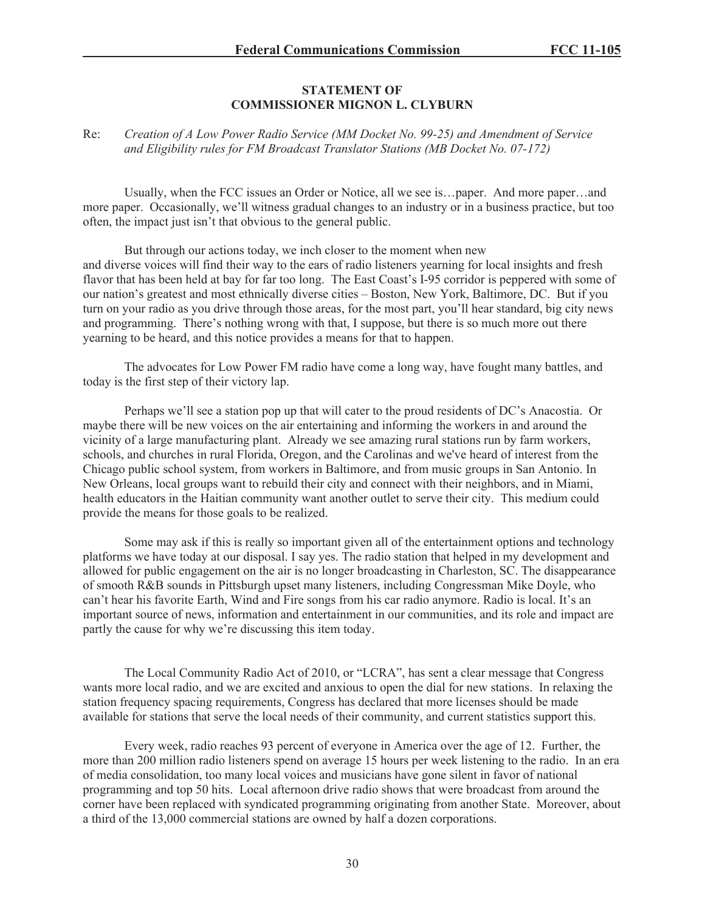#### **STATEMENT OF COMMISSIONER MIGNON L. CLYBURN**

### Re: *Creation of A Low Power Radio Service (MM Docket No. 99-25) and Amendment of Service and Eligibility rules for FM Broadcast Translator Stations (MB Docket No. 07-172)*

Usually, when the FCC issues an Order or Notice, all we see is…paper. And more paper…and more paper. Occasionally, we'll witness gradual changes to an industry or in a business practice, but too often, the impact just isn't that obvious to the general public.

But through our actions today, we inch closer to the moment when new and diverse voices will find their way to the ears of radio listeners yearning for local insights and fresh flavor that has been held at bay for far too long. The East Coast's I-95 corridor is peppered with some of our nation's greatest and most ethnically diverse cities – Boston, New York, Baltimore, DC. But if you turn on your radio as you drive through those areas, for the most part, you'll hear standard, big city news and programming. There's nothing wrong with that, I suppose, but there is so much more out there yearning to be heard, and this notice provides a means for that to happen.

The advocates for Low Power FM radio have come a long way, have fought many battles, and today is the first step of their victory lap.

Perhaps we'll see a station pop up that will cater to the proud residents of DC's Anacostia. Or maybe there will be new voices on the air entertaining and informing the workers in and around the vicinity of a large manufacturing plant. Already we see amazing rural stations run by farm workers, schools, and churches in rural Florida, Oregon, and the Carolinas and we've heard of interest from the Chicago public school system, from workers in Baltimore, and from music groups in San Antonio. In New Orleans, local groups want to rebuild their city and connect with their neighbors, and in Miami, health educators in the Haitian community want another outlet to serve their city. This medium could provide the means for those goals to be realized.

Some may ask if this is really so important given all of the entertainment options and technology platforms we have today at our disposal. I say yes. The radio station that helped in my development and allowed for public engagement on the air is no longer broadcasting in Charleston, SC. The disappearance of smooth R&B sounds in Pittsburgh upset many listeners, including Congressman Mike Doyle, who can't hear his favorite Earth, Wind and Fire songs from his car radio anymore. Radio is local. It's an important source of news, information and entertainment in our communities, and its role and impact are partly the cause for why we're discussing this item today.

The Local Community Radio Act of 2010, or "LCRA", has sent a clear message that Congress wants more local radio, and we are excited and anxious to open the dial for new stations. In relaxing the station frequency spacing requirements, Congress has declared that more licenses should be made available for stations that serve the local needs of their community, and current statistics support this.

Every week, radio reaches 93 percent of everyone in America over the age of 12. Further, the more than 200 million radio listeners spend on average 15 hours per week listening to the radio. In an era of media consolidation, too many local voices and musicians have gone silent in favor of national programming and top 50 hits. Local afternoon drive radio shows that were broadcast from around the corner have been replaced with syndicated programming originating from another State. Moreover, about a third of the 13,000 commercial stations are owned by half a dozen corporations.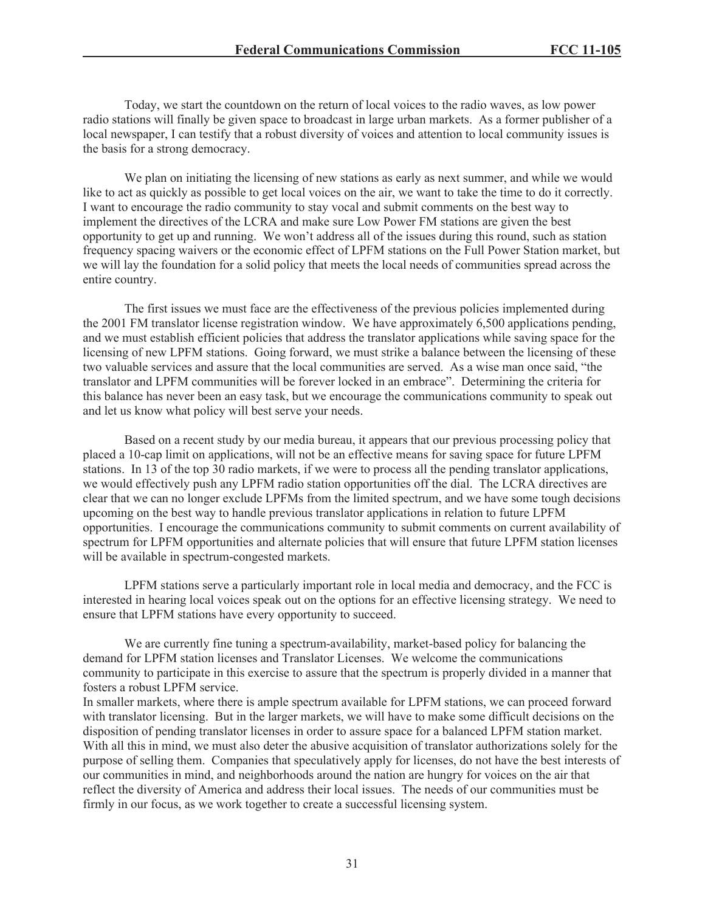Today, we start the countdown on the return of local voices to the radio waves, as low power radio stations will finally be given space to broadcast in large urban markets. As a former publisher of a local newspaper, I can testify that a robust diversity of voices and attention to local community issues is the basis for a strong democracy.

We plan on initiating the licensing of new stations as early as next summer, and while we would like to act as quickly as possible to get local voices on the air, we want to take the time to do it correctly. I want to encourage the radio community to stay vocal and submit comments on the best way to implement the directives of the LCRA and make sure Low Power FM stations are given the best opportunity to get up and running. We won't address all of the issues during this round, such as station frequency spacing waivers or the economic effect of LPFM stations on the Full Power Station market, but we will lay the foundation for a solid policy that meets the local needs of communities spread across the entire country.

The first issues we must face are the effectiveness of the previous policies implemented during the 2001 FM translator license registration window. We have approximately 6,500 applications pending, and we must establish efficient policies that address the translator applications while saving space for the licensing of new LPFM stations. Going forward, we must strike a balance between the licensing of these two valuable services and assure that the local communities are served. As a wise man once said, "the translator and LPFM communities will be forever locked in an embrace". Determining the criteria for this balance has never been an easy task, but we encourage the communications community to speak out and let us know what policy will best serve your needs.

Based on a recent study by our media bureau, it appears that our previous processing policy that placed a 10-cap limit on applications, will not be an effective means for saving space for future LPFM stations. In 13 of the top 30 radio markets, if we were to process all the pending translator applications, we would effectively push any LPFM radio station opportunities off the dial. The LCRA directives are clear that we can no longer exclude LPFMs from the limited spectrum, and we have some tough decisions upcoming on the best way to handle previous translator applications in relation to future LPFM opportunities. I encourage the communications community to submit comments on current availability of spectrum for LPFM opportunities and alternate policies that will ensure that future LPFM station licenses will be available in spectrum-congested markets.

LPFM stations serve a particularly important role in local media and democracy, and the FCC is interested in hearing local voices speak out on the options for an effective licensing strategy. We need to ensure that LPFM stations have every opportunity to succeed.

We are currently fine tuning a spectrum-availability, market-based policy for balancing the demand for LPFM station licenses and Translator Licenses. We welcome the communications community to participate in this exercise to assure that the spectrum is properly divided in a manner that fosters a robust LPFM service.

In smaller markets, where there is ample spectrum available for LPFM stations, we can proceed forward with translator licensing. But in the larger markets, we will have to make some difficult decisions on the disposition of pending translator licenses in order to assure space for a balanced LPFM station market. With all this in mind, we must also deter the abusive acquisition of translator authorizations solely for the purpose of selling them. Companies that speculatively apply for licenses, do not have the best interests of our communities in mind, and neighborhoods around the nation are hungry for voices on the air that reflect the diversity of America and address their local issues. The needs of our communities must be firmly in our focus, as we work together to create a successful licensing system.